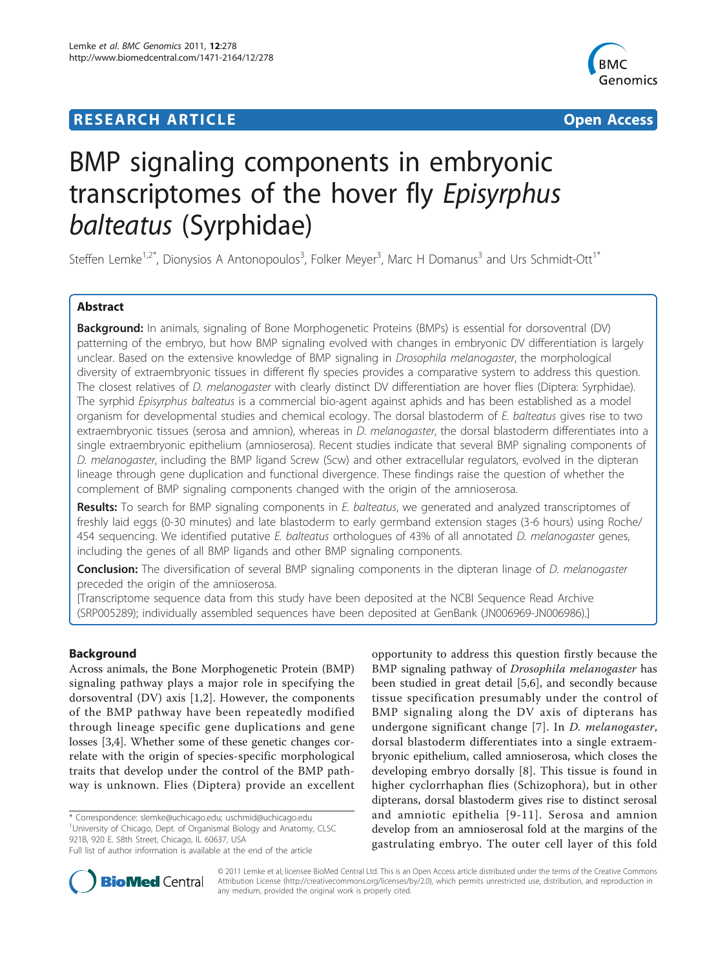# **RESEARCH ARTICLE Example 2018 Open Access**



# BMP signaling components in embryonic transcriptomes of the hover fly Episyrphus balteatus (Syrphidae)

Steffen Lemke<sup>1,2\*</sup>, Dionysios A Antonopoulos<sup>3</sup>, Folker Meyer<sup>3</sup>, Marc H Domanus<sup>3</sup> and Urs Schmidt-Ott<sup>1\*</sup>

# Abstract

Background: In animals, signaling of Bone Morphogenetic Proteins (BMPs) is essential for dorsoventral (DV) patterning of the embryo, but how BMP signaling evolved with changes in embryonic DV differentiation is largely unclear. Based on the extensive knowledge of BMP signaling in *Drosophila melanogaster*, the morphological diversity of extraembryonic tissues in different fly species provides a comparative system to address this question. The closest relatives of D. melanogaster with clearly distinct DV differentiation are hover flies (Diptera: Syrphidae). The syrphid Episyrphus balteatus is a commercial bio-agent against aphids and has been established as a model organism for developmental studies and chemical ecology. The dorsal blastoderm of E. balteatus gives rise to two extraembryonic tissues (serosa and amnion), whereas in *D. melanogaster*, the dorsal blastoderm differentiates into a single extraembryonic epithelium (amnioserosa). Recent studies indicate that several BMP signaling components of D. melanogaster, including the BMP ligand Screw (Scw) and other extracellular regulators, evolved in the dipteran lineage through gene duplication and functional divergence. These findings raise the question of whether the complement of BMP signaling components changed with the origin of the amnioserosa.

Results: To search for BMP signaling components in E. balteatus, we generated and analyzed transcriptomes of freshly laid eggs (0-30 minutes) and late blastoderm to early germband extension stages (3-6 hours) using Roche/ 454 sequencing. We identified putative E. balteatus orthologues of 43% of all annotated D. melanogaster genes, including the genes of all BMP ligands and other BMP signaling components.

Conclusion: The diversification of several BMP signaling components in the dipteran linage of D. melanogaster preceded the origin of the amnioserosa.

[Transcriptome sequence data from this study have been deposited at the NCBI Sequence Read Archive (SRP005289); individually assembled sequences have been deposited at GenBank ([JN006969](http://www.ncbi.nih.gov/entrez/query.fcgi?db=Nucleotide&cmd=search&term=JN006969)[-JN006986\)](http://www.ncbi.nih.gov/entrez/query.fcgi?db=Nucleotide&cmd=search&term=JN006986).]

# Background

Across animals, the Bone Morphogenetic Protein (BMP) signaling pathway plays a major role in specifying the dorsoventral (DV) axis [[1,2](#page-10-0)]. However, the components of the BMP pathway have been repeatedly modified through lineage specific gene duplications and gene losses [\[3,4](#page-10-0)]. Whether some of these genetic changes correlate with the origin of species-specific morphological traits that develop under the control of the BMP pathway is unknown. Flies (Diptera) provide an excellent

\* Correspondence: [slemke@uchicago.edu](mailto:slemke@uchicago.edu); [uschmid@uchicago.edu](mailto:uschmid@uchicago.edu) <sup>1</sup>University of Chicago, Dept. of Organismal Biology and Anatomy, CLSC 921B, 920 E. 58th Street, Chicago, IL 60637, USA

opportunity to address this question firstly because the BMP signaling pathway of Drosophila melanogaster has been studied in great detail [[5,6](#page-10-0)], and secondly because tissue specification presumably under the control of BMP signaling along the DV axis of dipterans has undergone significant change [[7](#page-10-0)]. In D. melanogaster, dorsal blastoderm differentiates into a single extraembryonic epithelium, called amnioserosa, which closes the developing embryo dorsally [[8\]](#page-10-0). This tissue is found in higher cyclorrhaphan flies (Schizophora), but in other dipterans, dorsal blastoderm gives rise to distinct serosal and amniotic epithelia [[9](#page-10-0)-[11](#page-10-0)]. Serosa and amnion develop from an amnioserosal fold at the margins of the gastrulating embryo. The outer cell layer of this fold



© 2011 Lemke et al; licensee BioMed Central Ltd. This is an Open Access article distributed under the terms of the Creative Commons Attribution License [\(http://creativecommons.org/licenses/by/2.0](http://creativecommons.org/licenses/by/2.0)), which permits unrestricted use, distribution, and reproduction in any medium, provided the original work is properly cited.

Full list of author information is available at the end of the article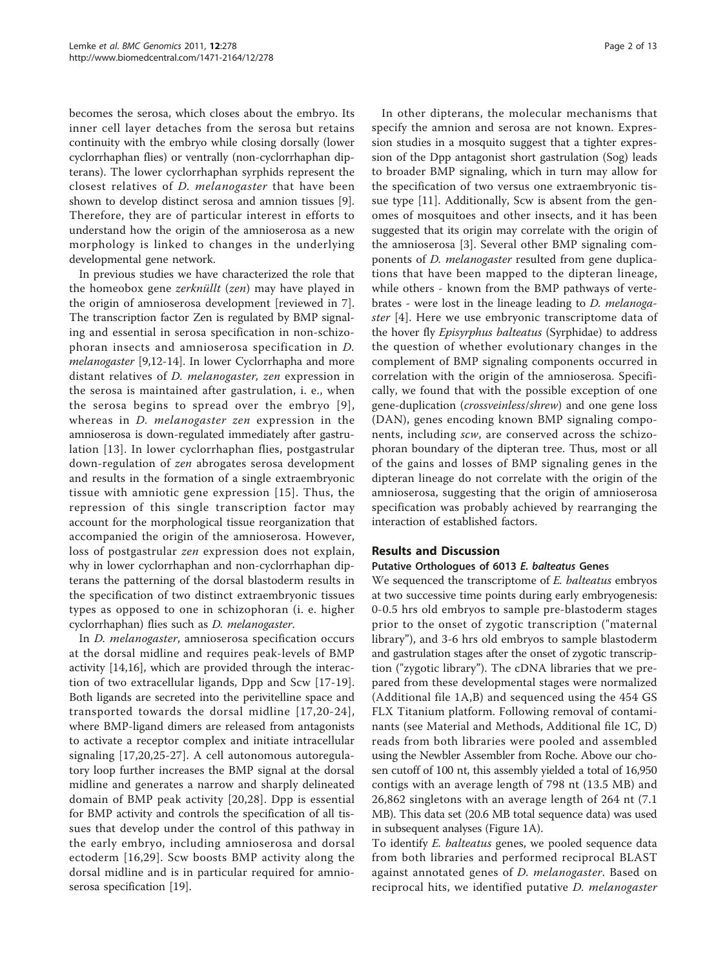becomes the serosa, which closes about the embryo. Its inner cell layer detaches from the serosa but retains continuity with the embryo while closing dorsally (lower cyclorrhaphan flies) or ventrally (non-cyclorrhaphan dipterans). The lower cyclorrhaphan syrphids represent the closest relatives of D. melanogaster that have been shown to develop distinct serosa and amnion tissues [\[9](#page-10-0)]. Therefore, they are of particular interest in efforts to understand how the origin of the amnioserosa as a new morphology is linked to changes in the underlying developmental gene network.

In previous studies we have characterized the role that the homeobox gene zerknüllt (zen) may have played in the origin of amnioserosa development [reviewed in 7]. The transcription factor Zen is regulated by BMP signaling and essential in serosa specification in non-schizophoran insects and amnioserosa specification in D. melanogaster [[9](#page-10-0),[12](#page-10-0)-[14\]](#page-10-0). In lower Cyclorrhapha and more distant relatives of D. melanogaster, zen expression in the serosa is maintained after gastrulation, i. e., when the serosa begins to spread over the embryo [[9\]](#page-10-0), whereas in D. melanogaster zen expression in the amnioserosa is down-regulated immediately after gastrulation [[13](#page-10-0)]. In lower cyclorrhaphan flies, postgastrular down-regulation of zen abrogates serosa development and results in the formation of a single extraembryonic tissue with amniotic gene expression [[15\]](#page-10-0). Thus, the repression of this single transcription factor may account for the morphological tissue reorganization that accompanied the origin of the amnioserosa. However, loss of postgastrular zen expression does not explain, why in lower cyclorrhaphan and non-cyclorrhaphan dipterans the patterning of the dorsal blastoderm results in the specification of two distinct extraembryonic tissues types as opposed to one in schizophoran (i. e. higher cyclorrhaphan) flies such as D. melanogaster.

In D. melanogaster, amnioserosa specification occurs at the dorsal midline and requires peak-levels of BMP activity [[14](#page-10-0),[16\]](#page-10-0), which are provided through the interaction of two extracellular ligands, Dpp and Scw [\[17](#page-10-0)-[19](#page-10-0)]. Both ligands are secreted into the perivitelline space and transported towards the dorsal midline [[17,20](#page-10-0)-[24\]](#page-11-0), where BMP-ligand dimers are released from antagonists to activate a receptor complex and initiate intracellular signaling [[17,20](#page-10-0),[25-27](#page-11-0)]. A cell autonomous autoregulatory loop further increases the BMP signal at the dorsal midline and generates a narrow and sharply delineated domain of BMP peak activity [[20](#page-10-0),[28\]](#page-11-0). Dpp is essential for BMP activity and controls the specification of all tissues that develop under the control of this pathway in the early embryo, including amnioserosa and dorsal ectoderm [[16](#page-10-0),[29\]](#page-11-0). Scw boosts BMP activity along the dorsal midline and is in particular required for amnioserosa specification [[19\]](#page-10-0).

In other dipterans, the molecular mechanisms that specify the amnion and serosa are not known. Expression studies in a mosquito suggest that a tighter expression of the Dpp antagonist short gastrulation (Sog) leads to broader BMP signaling, which in turn may allow for the specification of two versus one extraembryonic tissue type [[11\]](#page-10-0). Additionally, Scw is absent from the genomes of mosquitoes and other insects, and it has been suggested that its origin may correlate with the origin of the amnioserosa [[3\]](#page-10-0). Several other BMP signaling components of *D. melanogaster* resulted from gene duplications that have been mapped to the dipteran lineage, while others - known from the BMP pathways of vertebrates - were lost in the lineage leading to D. melanogaster [[4\]](#page-10-0). Here we use embryonic transcriptome data of the hover fly Episyrphus balteatus (Syrphidae) to address the question of whether evolutionary changes in the complement of BMP signaling components occurred in correlation with the origin of the amnioserosa. Specifically, we found that with the possible exception of one gene-duplication (*crossveinless/shrew*) and one gene loss (DAN), genes encoding known BMP signaling components, including *scw*, are conserved across the schizophoran boundary of the dipteran tree. Thus, most or all of the gains and losses of BMP signaling genes in the dipteran lineage do not correlate with the origin of the amnioserosa, suggesting that the origin of amnioserosa specification was probably achieved by rearranging the interaction of established factors.

## Results and Discussion

#### Putative Orthologues of 6013 E. balteatus Genes

We sequenced the transcriptome of E. balteatus embryos at two successive time points during early embryogenesis: 0-0.5 hrs old embryos to sample pre-blastoderm stages prior to the onset of zygotic transcription ("maternal library"), and 3-6 hrs old embryos to sample blastoderm and gastrulation stages after the onset of zygotic transcription ("zygotic library"). The cDNA libraries that we prepared from these developmental stages were normalized (Additional file [1A,B](#page-10-0)) and sequenced using the 454 GS FLX Titanium platform. Following removal of contaminants (see Material and Methods, Additional file [1C, D](#page-10-0)) reads from both libraries were pooled and assembled using the Newbler Assembler from Roche. Above our chosen cutoff of 100 nt, this assembly yielded a total of 16,950 contigs with an average length of 798 nt (13.5 MB) and 26,862 singletons with an average length of 264 nt (7.1 MB). This data set (20.6 MB total sequence data) was used in subsequent analyses (Figure [1A\)](#page-2-0).

To identify E. balteatus genes, we pooled sequence data from both libraries and performed reciprocal BLAST against annotated genes of *D. melanogaster*. Based on reciprocal hits, we identified putative D. melanogaster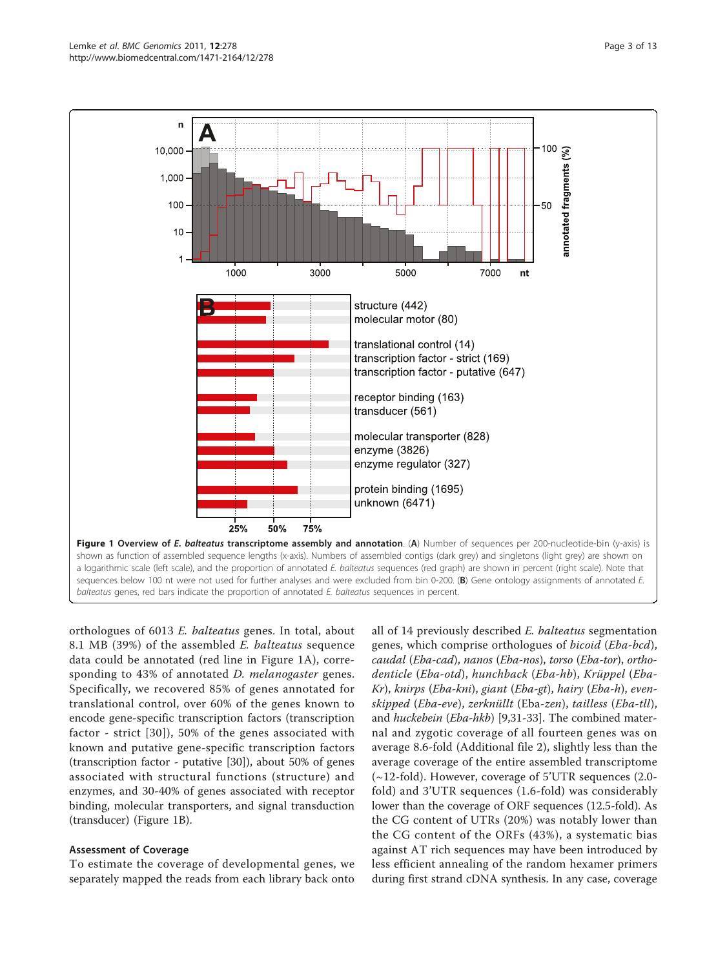<span id="page-2-0"></span>

orthologues of 6013 E. balteatus genes. In total, about 8.1 MB (39%) of the assembled E. balteatus sequence data could be annotated (red line in Figure 1A), corresponding to 43% of annotated D. melanogaster genes. Specifically, we recovered 85% of genes annotated for translational control, over 60% of the genes known to encode gene-specific transcription factors (transcription factor - strict [[30\]](#page-11-0)), 50% of the genes associated with known and putative gene-specific transcription factors (transcription factor - putative [[30](#page-11-0)]), about 50% of genes associated with structural functions (structure) and enzymes, and 30-40% of genes associated with receptor binding, molecular transporters, and signal transduction (transducer) (Figure 1B).

## Assessment of Coverage

To estimate the coverage of developmental genes, we separately mapped the reads from each library back onto all of 14 previously described E. balteatus segmentation genes, which comprise orthologues of bicoid (Eba-bcd), caudal (Eba-cad), nanos (Eba-nos), torso (Eba-tor), orthodenticle (Eba-otd), hunchback (Eba-hb), Krüppel (Eba-Kr), knirps (Eba-kni), giant (Eba-gt), hairy (Eba-h), evenskipped (Eba-eve), zerknüllt (Eba-zen), tailless (Eba-tll), and huckebein (Eba-hkb) [\[9](#page-10-0)[,31](#page-11-0)-[33](#page-11-0)]. The combined maternal and zygotic coverage of all fourteen genes was on average 8.6-fold (Additional file [2\)](#page-10-0), slightly less than the average coverage of the entire assembled transcriptome (~12-fold). However, coverage of 5'UTR sequences (2.0 fold) and 3'UTR sequences (1.6-fold) was considerably lower than the coverage of ORF sequences (12.5-fold). As the CG content of UTRs (20%) was notably lower than the CG content of the ORFs (43%), a systematic bias against AT rich sequences may have been introduced by less efficient annealing of the random hexamer primers during first strand cDNA synthesis. In any case, coverage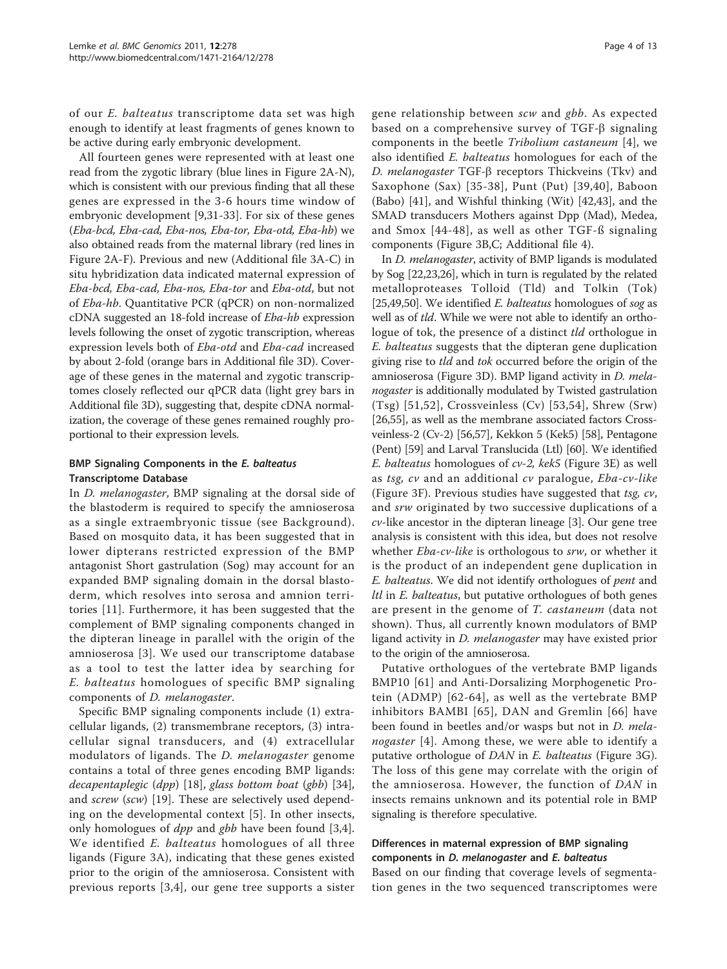of our E. balteatus transcriptome data set was high enough to identify at least fragments of genes known to be active during early embryonic development.

All fourteen genes were represented with at least one read from the zygotic library (blue lines in Figure [2A-N](#page-4-0)), which is consistent with our previous finding that all these genes are expressed in the 3-6 hours time window of embryonic development [\[9](#page-10-0),[31](#page-11-0)-[33\]](#page-11-0). For six of these genes (Eba-bcd, Eba-cad, Eba-nos, Eba-tor, Eba-otd, Eba-hb) we also obtained reads from the maternal library (red lines in Figure [2A-F\)](#page-4-0). Previous and new (Additional file [3A-C](#page-10-0)) in situ hybridization data indicated maternal expression of Eba-bcd, Eba-cad, Eba-nos, Eba-tor and Eba-otd, but not of Eba-hb. Quantitative PCR (qPCR) on non-normalized cDNA suggested an 18-fold increase of Eba-hb expression levels following the onset of zygotic transcription, whereas expression levels both of Eba-otd and Eba-cad increased by about 2-fold (orange bars in Additional file [3D](#page-10-0)). Coverage of these genes in the maternal and zygotic transcriptomes closely reflected our qPCR data (light grey bars in Additional file [3D\)](#page-10-0), suggesting that, despite cDNA normalization, the coverage of these genes remained roughly proportional to their expression levels.

## BMP Signaling Components in the E. balteatus Transcriptome Database

In D. melanogaster, BMP signaling at the dorsal side of the blastoderm is required to specify the amnioserosa as a single extraembryonic tissue (see Background). Based on mosquito data, it has been suggested that in lower dipterans restricted expression of the BMP antagonist Short gastrulation (Sog) may account for an expanded BMP signaling domain in the dorsal blastoderm, which resolves into serosa and amnion territories [[11\]](#page-10-0). Furthermore, it has been suggested that the complement of BMP signaling components changed in the dipteran lineage in parallel with the origin of the amnioserosa [[3\]](#page-10-0). We used our transcriptome database as a tool to test the latter idea by searching for E. balteatus homologues of specific BMP signaling components of D. melanogaster.

Specific BMP signaling components include (1) extracellular ligands, (2) transmembrane receptors, (3) intracellular signal transducers, and (4) extracellular modulators of ligands. The D. melanogaster genome contains a total of three genes encoding BMP ligands: decapentaplegic (dpp) [\[18](#page-10-0)], glass bottom boat (gbb) [\[34](#page-11-0)], and screw (scw) [[19](#page-10-0)]. These are selectively used depending on the developmental context [\[5](#page-10-0)]. In other insects, only homologues of  $dpp$  and  $gbb$  have been found [\[3,4](#page-10-0)]. We identified E. balteatus homologues of all three ligands (Figure [3A](#page-5-0)), indicating that these genes existed prior to the origin of the amnioserosa. Consistent with previous reports [[3,4](#page-10-0)], our gene tree supports a sister

gene relationship between scw and gbb. As expected based on a comprehensive survey of  $TGF-\beta$  signaling components in the beetle Tribolium castaneum [\[4](#page-10-0)], we also identified E. balteatus homologues for each of the D. melanogaster TGF-b receptors Thickveins (Tkv) and Saxophone (Sax) [\[35-38](#page-11-0)], Punt (Put) [[39,40](#page-11-0)], Baboon (Babo) [\[41\]](#page-11-0), and Wishful thinking (Wit) [[42,43\]](#page-11-0), and the SMAD transducers Mothers against Dpp (Mad), Medea, and Smox [[44](#page-11-0)-[48\]](#page-11-0), as well as other TGF-ß signaling components (Figure [3B,C](#page-5-0); Additional file [4](#page-10-0)).

In D. melanogaster, activity of BMP ligands is modulated by Sog [\[22,23](#page-11-0),[26](#page-11-0)], which in turn is regulated by the related metalloproteases Tolloid (Tld) and Tolkin (Tok) [[25,49,50\]](#page-11-0). We identified  $E$ . *balteatus* homologues of sog as well as of tld. While we were not able to identify an orthologue of tok, the presence of a distinct tld orthologue in E. balteatus suggests that the dipteran gene duplication giving rise to tld and tok occurred before the origin of the amnioserosa (Figure [3D\)](#page-5-0). BMP ligand activity in D. melanogaster is additionally modulated by Twisted gastrulation (Tsg) [[51,52](#page-11-0)], Crossveinless (Cv) [[53,54\]](#page-11-0), Shrew (Srw) [[26](#page-11-0),[55](#page-11-0)], as well as the membrane associated factors Crossveinless-2 (Cv-2) [\[56,57\]](#page-11-0), Kekkon 5 (Kek5) [[58](#page-11-0)], Pentagone (Pent) [[59](#page-11-0)] and Larval Translucida (Ltl) [\[60\]](#page-11-0). We identified E. balteatus homologues of cv-2, kek5 (Figure [3E\)](#page-5-0) as well as tsg, cv and an additional cv paralogue, Eba-cv-like (Figure [3F\)](#page-5-0). Previous studies have suggested that tsg, cv, and srw originated by two successive duplications of a  $cv$ -like ancestor in the dipteran lineage [[3\]](#page-10-0). Our gene tree analysis is consistent with this idea, but does not resolve whether *Eba-cv-like* is orthologous to *srw*, or whether it is the product of an independent gene duplication in E. balteatus. We did not identify orthologues of pent and ltl in E. balteatus, but putative orthologues of both genes are present in the genome of T. castaneum (data not shown). Thus, all currently known modulators of BMP ligand activity in D. melanogaster may have existed prior to the origin of the amnioserosa.

Putative orthologues of the vertebrate BMP ligands BMP10 [[61\]](#page-11-0) and Anti-Dorsalizing Morphogenetic Protein (ADMP) [[62](#page-12-0)-[64\]](#page-12-0), as well as the vertebrate BMP inhibitors BAMBI [[65\]](#page-12-0), DAN and Gremlin [[66\]](#page-12-0) have been found in beetles and/or wasps but not in D. mela-nogaster [\[4\]](#page-10-0). Among these, we were able to identify a putative orthologue of DAN in E. balteatus (Figure [3G](#page-5-0)). The loss of this gene may correlate with the origin of the amnioserosa. However, the function of DAN in insects remains unknown and its potential role in BMP signaling is therefore speculative.

# Differences in maternal expression of BMP signaling components in D. melanogaster and E. balteatus

Based on our finding that coverage levels of segmentation genes in the two sequenced transcriptomes were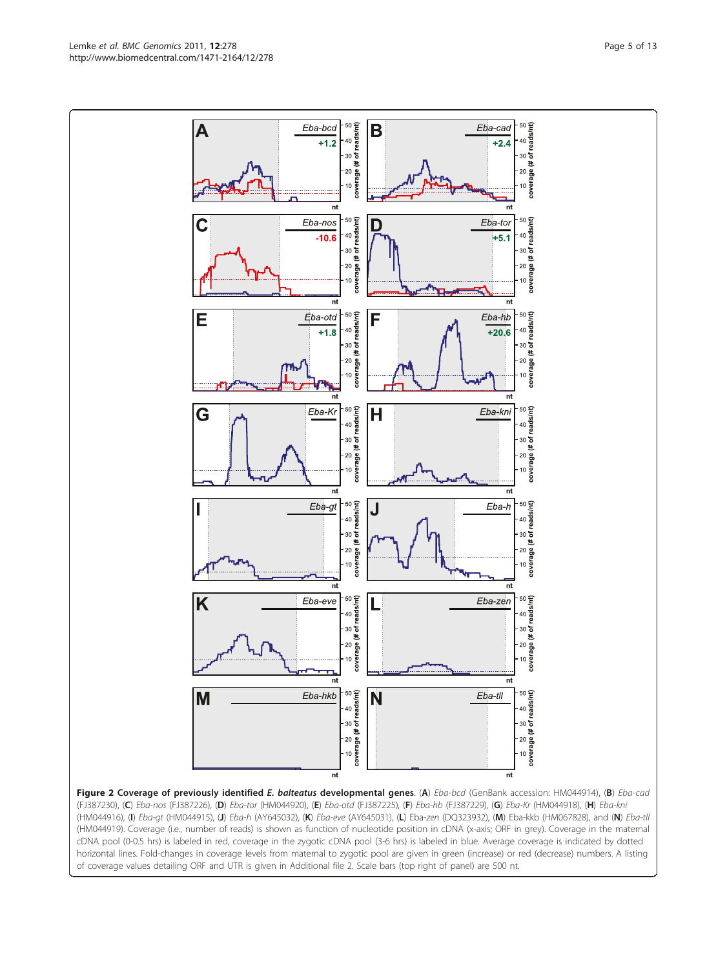Figure 2 Coverage of previously identified E. balteatus developmental genes. (A) Eba-bcd (GenBank accession: [HM044914\)](http://www.ncbi.nlm.nih.gov/pubmed/044914?dopt=Abstract), (B) Eba-cad [\(FJ387230](http://www.ncbi.nlm.nih.gov/pubmed/387230?dopt=Abstract)), (C) Eba-nos ([FJ387226](http://www.ncbi.nlm.nih.gov/pubmed/387226?dopt=Abstract)), (D) Eba-tor [\(HM044920](http://www.ncbi.nlm.nih.gov/pubmed/044920?dopt=Abstract)), (E) Eba-otd ([FJ387225](http://www.ncbi.nlm.nih.gov/pubmed/387225?dopt=Abstract)), (F) Eba-hb [\(FJ387229\)](http://www.ncbi.nlm.nih.gov/pubmed/387229?dopt=Abstract), (G) Eba-Kr [\(HM044918](http://www.ncbi.nlm.nih.gov/pubmed/044918?dopt=Abstract)), (H) Eba-kni ([HM044916\)](http://www.ncbi.nlm.nih.gov/pubmed/044916?dopt=Abstract), (I) Eba-gt [\(HM044915](http://www.ncbi.nlm.nih.gov/pubmed/044915?dopt=Abstract)), (J) Eba-h ([AY645032](http://www.ncbi.nlm.nih.gov/pubmed/645032?dopt=Abstract)), (K) Eba-eve ([AY645031](http://www.ncbi.nlm.nih.gov/pubmed/645031?dopt=Abstract)), (L) Eba-zen ([DQ323932\)](http://www.ncbi.nlm.nih.gov/pubmed/323932?dopt=Abstract), (M) Eba-kkb ([HM067828](http://www.ncbi.nlm.nih.gov/pubmed/067828?dopt=Abstract)), and (N) Eba-tll ([HM044919](http://www.ncbi.nlm.nih.gov/pubmed/044919?dopt=Abstract)). Coverage (i.e., number of reads) is shown as function of nucleotide position in cDNA (x-axis; ORF in grey). Coverage in the maternal cDNA pool (0-0.5 hrs) is labeled in red, coverage in the zygotic cDNA pool (3-6 hrs) is labeled in blue. Average coverage is indicated by dotted horizontal lines. Fold-changes in coverage levels from maternal to zygotic pool are given in green (increase) or red (decrease) numbers. A listing of coverage values detailing ORF and UTR is given in Additional file [2.](#page-10-0) Scale bars (top right of panel) are 500 nt.

<span id="page-4-0"></span>50 호<br>40 호<br>eg B  $\overline{\mathsf{A}}$ Eba-bcd

 $+1.2$ 

Eba-cad

 $+2.4$ 

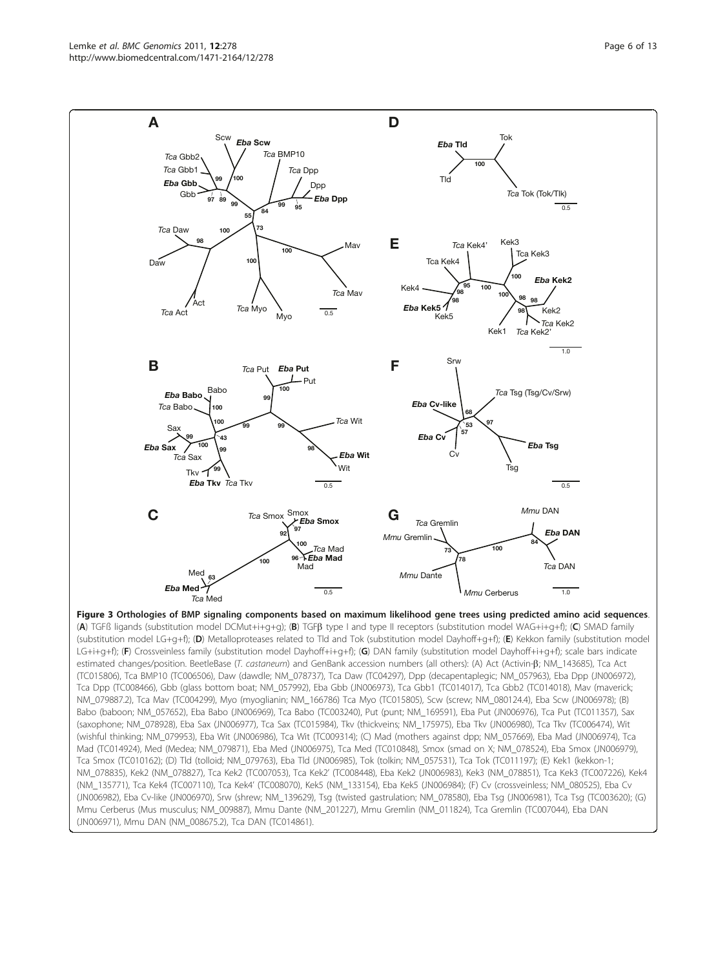<span id="page-5-0"></span>

Figure 3 Orthologies of BMP signaling components based on maximum likelihood gene trees using predicted amino acid sequences. (A) TGFß ligands (substitution model DCMut+i+g+g); (B) TGFb type I and type II receptors (substitution model WAG+i+g+f); (C) SMAD family (substitution model LG+g+f); (D) Metalloproteases related to Tld and Tok (substitution model Dayhoff+g+f); (E) Kekkon family (substitution model LG+i+g+f); (F) Crossveinless family (substitution model Dayhoff+i+g+f); (G) DAN family (substitution model Dayhoff+i+g+f); scale bars indicate estimated changes/position. BeetleBase (T. castaneum) and GenBank accession numbers (all others): (A) Act (Activin-ß; [NM\\_143685\)](http://www.ncbi.nlm.nih.gov/pubmed/143685?dopt=Abstract), Tca Act ([TC015806](http://www.ncbi.nlm.nih.gov/pubmed/015806?dopt=Abstract)), Tca BMP10 ([TC006506\)](http://www.ncbi.nlm.nih.gov/pubmed/006506?dopt=Abstract), Daw (dawdle; [NM\\_078737](http://www.ncbi.nlm.nih.gov/pubmed/078737?dopt=Abstract)), Tca Daw ([TC04297\)](http://www.ncbi.nlm.nih.gov/pubmed/04297?dopt=Abstract), Dpp (decapentaplegic; [NM\\_057963](http://www.ncbi.nlm.nih.gov/pubmed/057963?dopt=Abstract)), Eba Dpp ([JN006972](http://www.ncbi.nlm.nih.gov/pubmed/006972?dopt=Abstract)), Tca Dpp ([TC008466\)](http://www.ncbi.nlm.nih.gov/pubmed/008466?dopt=Abstract), Gbb (glass bottom boat; [NM\\_057992](http://www.ncbi.nlm.nih.gov/pubmed/057992?dopt=Abstract)), Eba Gbb [\(JN006973](http://www.ncbi.nlm.nih.gov/pubmed/006973?dopt=Abstract)), Tca Gbb1 ([TC014017](http://www.ncbi.nlm.nih.gov/pubmed/014017?dopt=Abstract)), Tca Gbb2 ([TC014018\)](http://www.ncbi.nlm.nih.gov/pubmed/014018?dopt=Abstract), Mav (maverick; [NM\\_079887.2](http://www.ncbi.nlm.nih.gov/pubmed/079887.2?dopt=Abstract)), Tca Mav [\(TC004299](http://www.ncbi.nlm.nih.gov/pubmed/004299?dopt=Abstract)), Myo (myoglianin; [NM\\_166786](http://www.ncbi.nlm.nih.gov/pubmed/166786?dopt=Abstract)) Tca Myo [\(TC015805](http://www.ncbi.nlm.nih.gov/pubmed/015805?dopt=Abstract)), Scw (screw; [NM\\_080124.4\)](http://www.ncbi.nlm.nih.gov/pubmed/080124.4?dopt=Abstract), Eba Scw ([JN006978](http://www.ncbi.nlm.nih.gov/pubmed/006978?dopt=Abstract)); (B) Babo (baboon; [NM\\_057652\)](http://www.ncbi.nlm.nih.gov/pubmed/057652?dopt=Abstract), Eba Babo ([JN006969](http://www.ncbi.nlm.nih.gov/pubmed/006969?dopt=Abstract)), Tca Babo [\(TC003240](http://www.ncbi.nlm.nih.gov/pubmed/003240?dopt=Abstract)), Put (punt; NM\_169591), Eba Put [\(JN006976\)](http://www.ncbi.nlm.nih.gov/pubmed/006976?dopt=Abstract), Tca Put [\(TC011357](http://www.ncbi.nlm.nih.gov/pubmed/011357?dopt=Abstract)), Sax (saxophone; NM\_078928), Eba Sax [\(JN006977](http://www.ncbi.nlm.nih.gov/pubmed/006977?dopt=Abstract)), Tca Sax ([TC015984\)](http://www.ncbi.nlm.nih.gov/pubmed/015984?dopt=Abstract), Tkv (thickveins; [NM\\_175975](http://www.ncbi.nlm.nih.gov/pubmed/175975?dopt=Abstract)), Eba Tkv ([JN006980](http://www.ncbi.nlm.nih.gov/pubmed/006980?dopt=Abstract)), Tca Tkv ([TC006474\)](http://www.ncbi.nlm.nih.gov/pubmed/006474?dopt=Abstract), Wit (wishful thinking; [NM\\_079953\)](http://www.ncbi.nlm.nih.gov/pubmed/079953?dopt=Abstract), Eba Wit [\(JN006986](http://www.ncbi.nlm.nih.gov/pubmed/006986?dopt=Abstract)), Tca Wit ([TC009314\)](http://www.ncbi.nlm.nih.gov/pubmed/009314?dopt=Abstract); (C) Mad (mothers against dpp; [NM\\_057669\)](http://www.ncbi.nlm.nih.gov/pubmed/057669?dopt=Abstract), Eba Mad ([JN006974](http://www.ncbi.nlm.nih.gov/pubmed/006974?dopt=Abstract)), Tca Mad ([TC014924\)](http://www.ncbi.nlm.nih.gov/pubmed/014924?dopt=Abstract), Med (Medea; [NM\\_079871](http://www.ncbi.nlm.nih.gov/pubmed/079871?dopt=Abstract)), Eba Med [\(JN006975](http://www.ncbi.nlm.nih.gov/pubmed/006975?dopt=Abstract)), Tca Med [\(TC010848](http://www.ncbi.nlm.nih.gov/pubmed/010848?dopt=Abstract)), Smox (smad on X; [NM\\_078524](http://www.ncbi.nlm.nih.gov/pubmed/078524?dopt=Abstract)), Eba Smox ([JN006979](http://www.ncbi.nlm.nih.gov/pubmed/006979?dopt=Abstract)), Tca Smox ([TC010162\)](http://www.ncbi.nlm.nih.gov/pubmed/010162?dopt=Abstract); (D) Tld (tolloid; [NM\\_079763](http://www.ncbi.nlm.nih.gov/pubmed/079763?dopt=Abstract)), Eba Tld ([JN006985](http://www.ncbi.nlm.nih.gov/pubmed/006985?dopt=Abstract)), Tok (tolkin; [NM\\_057531\)](http://www.ncbi.nlm.nih.gov/pubmed/057531?dopt=Abstract), Tca Tok ([TC011197\)](http://www.ncbi.nlm.nih.gov/pubmed/011197?dopt=Abstract); (E) Kek1 (kekkon-1; [NM\\_078835\)](http://www.ncbi.nlm.nih.gov/pubmed/078835?dopt=Abstract), Kek2 ([NM\\_078827\)](http://www.ncbi.nlm.nih.gov/pubmed/078827?dopt=Abstract), Tca Kek2 [\(TC007053](http://www.ncbi.nlm.nih.gov/pubmed/007053?dopt=Abstract)), Tca Kek2' ([TC008448\)](http://www.ncbi.nlm.nih.gov/pubmed/008448?dopt=Abstract), Eba Kek2 [\(JN006983](http://www.ncbi.nlm.nih.gov/pubmed/006983?dopt=Abstract)), Kek3 ([NM\\_078851\)](http://www.ncbi.nlm.nih.gov/pubmed/078851?dopt=Abstract), Tca Kek3 ([TC007226](http://www.ncbi.nlm.nih.gov/pubmed/007226?dopt=Abstract)), Kek4 ([NM\\_135771](http://www.ncbi.nlm.nih.gov/pubmed/135771?dopt=Abstract)), Tca Kek4 ([TC007110\)](http://www.ncbi.nlm.nih.gov/pubmed/007110?dopt=Abstract), Tca Kek4' [\(TC008070](http://www.ncbi.nlm.nih.gov/pubmed/008070?dopt=Abstract)), Kek5 ([NM\\_133154\)](http://www.ncbi.nlm.nih.gov/pubmed/133154?dopt=Abstract), Eba Kek5 [\(JN006984](http://www.ncbi.nlm.nih.gov/pubmed/006984?dopt=Abstract)); (F) Cv (crossveinless; [NM\\_080525\)](http://www.ncbi.nlm.nih.gov/pubmed/080525?dopt=Abstract), Eba Cv ([JN006982\)](http://www.ncbi.nlm.nih.gov/pubmed/006982?dopt=Abstract), Eba Cv-like [\(JN006970](http://www.ncbi.nlm.nih.gov/pubmed/006970?dopt=Abstract)), Srw (shrew; [NM\\_139629](http://www.ncbi.nlm.nih.gov/pubmed/139629?dopt=Abstract)), Tsg (twisted gastrulation; [NM\\_078580](http://www.ncbi.nlm.nih.gov/pubmed/078580?dopt=Abstract)), Eba Tsg ([JN006981\)](http://www.ncbi.nlm.nih.gov/pubmed/006981?dopt=Abstract), Tca Tsg [\(TC003620](http://www.ncbi.nlm.nih.gov/pubmed/003620?dopt=Abstract)); (G) Mmu Cerberus (Mus musculus; [NM\\_009887\)](http://www.ncbi.nlm.nih.gov/pubmed/009887?dopt=Abstract), Mmu Dante ([NM\\_201227](http://www.ncbi.nlm.nih.gov/pubmed/201227?dopt=Abstract)), Mmu Gremlin [\(NM\\_011824](http://www.ncbi.nlm.nih.gov/pubmed/011824?dopt=Abstract)), Tca Gremlin [\(TC007044](http://www.ncbi.nlm.nih.gov/pubmed/007044?dopt=Abstract)), Eba DAN ([JN006971\)](http://www.ncbi.nlm.nih.gov/pubmed/006971?dopt=Abstract), Mmu DAN ([NM\\_008675.2\)](http://www.ncbi.nlm.nih.gov/pubmed/008675.2?dopt=Abstract), Tca DAN ([TC014861\)](http://www.ncbi.nlm.nih.gov/pubmed/014861?dopt=Abstract).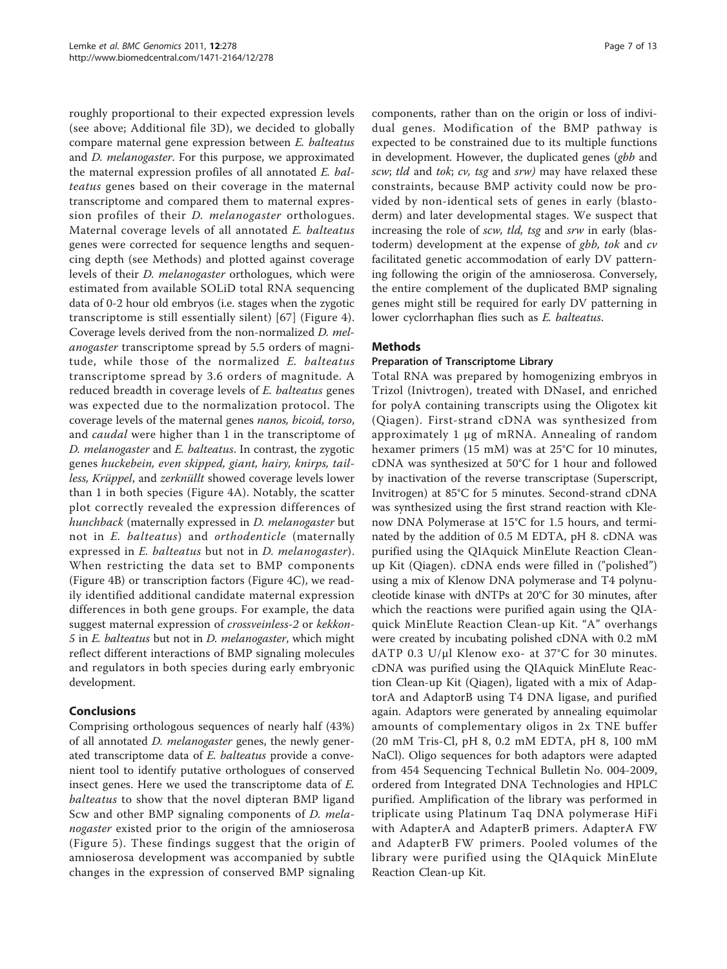roughly proportional to their expected expression levels (see above; Additional file [3D\)](#page-10-0), we decided to globally compare maternal gene expression between E. balteatus and D. melanogaster. For this purpose, we approximated the maternal expression profiles of all annotated E. balteatus genes based on their coverage in the maternal transcriptome and compared them to maternal expression profiles of their *D. melanogaster* orthologues. Maternal coverage levels of all annotated E. balteatus genes were corrected for sequence lengths and sequencing depth (see Methods) and plotted against coverage levels of their D. melanogaster orthologues, which were estimated from available SOLiD total RNA sequencing data of 0-2 hour old embryos (i.e. stages when the zygotic transcriptome is still essentially silent) [\[67\]](#page-12-0) (Figure [4\)](#page-7-0). Coverage levels derived from the non-normalized D. melanogaster transcriptome spread by 5.5 orders of magnitude, while those of the normalized E. balteatus transcriptome spread by 3.6 orders of magnitude. A reduced breadth in coverage levels of E. balteatus genes was expected due to the normalization protocol. The coverage levels of the maternal genes nanos, bicoid, torso, and *caudal* were higher than 1 in the transcriptome of D. melanogaster and E. balteatus. In contrast, the zygotic genes huckebein, even skipped, giant, hairy, knirps, tailless, Krüppel, and zerknüllt showed coverage levels lower than 1 in both species (Figure [4A\)](#page-7-0). Notably, the scatter plot correctly revealed the expression differences of hunchback (maternally expressed in D. melanogaster but not in E. balteatus) and orthodenticle (maternally expressed in E. balteatus but not in D. melanogaster). When restricting the data set to BMP components (Figure [4B](#page-7-0)) or transcription factors (Figure [4C\)](#page-7-0), we readily identified additional candidate maternal expression differences in both gene groups. For example, the data suggest maternal expression of crossveinless-2 or kekkon-5 in E. balteatus but not in D. melanogaster, which might reflect different interactions of BMP signaling molecules and regulators in both species during early embryonic development.

# Conclusions

Comprising orthologous sequences of nearly half (43%) of all annotated *D. melanogaster* genes, the newly generated transcriptome data of E. balteatus provide a convenient tool to identify putative orthologues of conserved insect genes. Here we used the transcriptome data of E. balteatus to show that the novel dipteran BMP ligand Scw and other BMP signaling components of *D. mela*nogaster existed prior to the origin of the amnioserosa (Figure [5](#page-8-0)). These findings suggest that the origin of amnioserosa development was accompanied by subtle changes in the expression of conserved BMP signaling components, rather than on the origin or loss of individual genes. Modification of the BMP pathway is expected to be constrained due to its multiple functions in development. However, the duplicated genes (gbb and scw; tld and tok; cv, tsg and srw) may have relaxed these constraints, because BMP activity could now be provided by non-identical sets of genes in early (blastoderm) and later developmental stages. We suspect that increasing the role of *scw*, tld, tsg and *srw* in early (blastoderm) development at the expense of  $gbb$ , tok and  $cv$ facilitated genetic accommodation of early DV patterning following the origin of the amnioserosa. Conversely, the entire complement of the duplicated BMP signaling genes might still be required for early DV patterning in lower cyclorrhaphan flies such as E. balteatus.

# **Methods**

# Preparation of Transcriptome Library

Total RNA was prepared by homogenizing embryos in Trizol (Inivtrogen), treated with DNaseI, and enriched for polyA containing transcripts using the Oligotex kit (Qiagen). First-strand cDNA was synthesized from approximately 1 μg of mRNA. Annealing of random hexamer primers (15 mM) was at 25°C for 10 minutes, cDNA was synthesized at 50°C for 1 hour and followed by inactivation of the reverse transcriptase (Superscript, Invitrogen) at 85°C for 5 minutes. Second-strand cDNA was synthesized using the first strand reaction with Klenow DNA Polymerase at 15°C for 1.5 hours, and terminated by the addition of 0.5 M EDTA, pH 8. cDNA was purified using the QIAquick MinElute Reaction Cleanup Kit (Qiagen). cDNA ends were filled in ("polished") using a mix of Klenow DNA polymerase and T4 polynucleotide kinase with dNTPs at 20°C for 30 minutes, after which the reactions were purified again using the QIAquick MinElute Reaction Clean-up Kit. "A" overhangs were created by incubating polished cDNA with 0.2 mM dATP 0.3 U/μl Klenow exo- at 37°C for 30 minutes. cDNA was purified using the QIAquick MinElute Reaction Clean-up Kit (Qiagen), ligated with a mix of AdaptorA and AdaptorB using T4 DNA ligase, and purified again. Adaptors were generated by annealing equimolar amounts of complementary oligos in 2x TNE buffer (20 mM Tris-Cl, pH 8, 0.2 mM EDTA, pH 8, 100 mM NaCl). Oligo sequences for both adaptors were adapted from 454 Sequencing Technical Bulletin No. 004-2009, ordered from Integrated DNA Technologies and HPLC purified. Amplification of the library was performed in triplicate using Platinum Taq DNA polymerase HiFi with AdapterA and AdapterB primers. AdapterA FW and AdapterB FW primers. Pooled volumes of the library were purified using the QIAquick MinElute Reaction Clean-up Kit.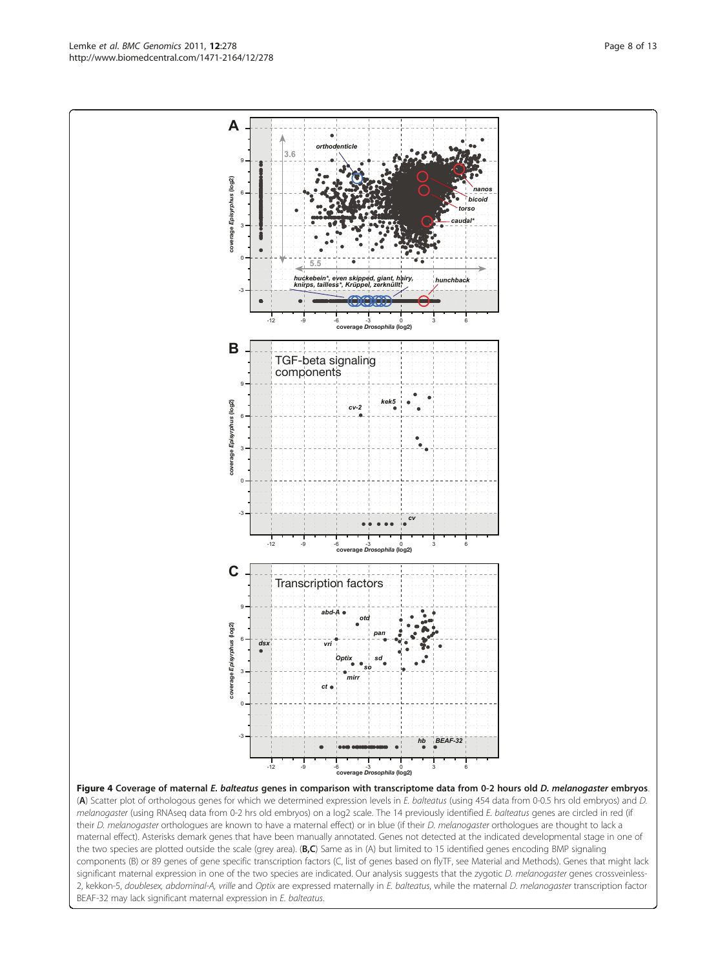Figure 4 Coverage of maternal E. balteatus genes in comparison with transcriptome data from 0-2 hours old D. melanogaster embryos. (A) Scatter plot of orthologous genes for which we determined expression levels in E. balteatus (using 454 data from 0-0.5 hrs old embryos) and D. melanogaster (using RNAseq data from 0-2 hrs old embryos) on a log2 scale. The 14 previously identified E. balteatus genes are circled in red (if their D. melanogaster orthologues are known to have a maternal effect) or in blue (if their D. melanogaster orthologues are thought to lack a maternal effect). Asterisks demark genes that have been manually annotated. Genes not detected at the indicated developmental stage in one of the two species are plotted outside the scale (grey area). ( $B, C$ ) Same as in (A) but limited to 15 identified genes encoding BMP signaling components (B) or 89 genes of gene specific transcription factors (C, list of genes based on flyTF, see Material and Methods). Genes that might lack significant maternal expression in one of the two species are indicated. Our analysis suggests that the zygotic D. melanogaster genes crossveinless-2, kekkon-5, doublesex, abdominal-A, vrille and Optix are expressed maternally in E. balteatus, while the maternal D. melanogaster transcription factor BEAF-32 may lack significant maternal expression in E. balteatus.

<span id="page-7-0"></span>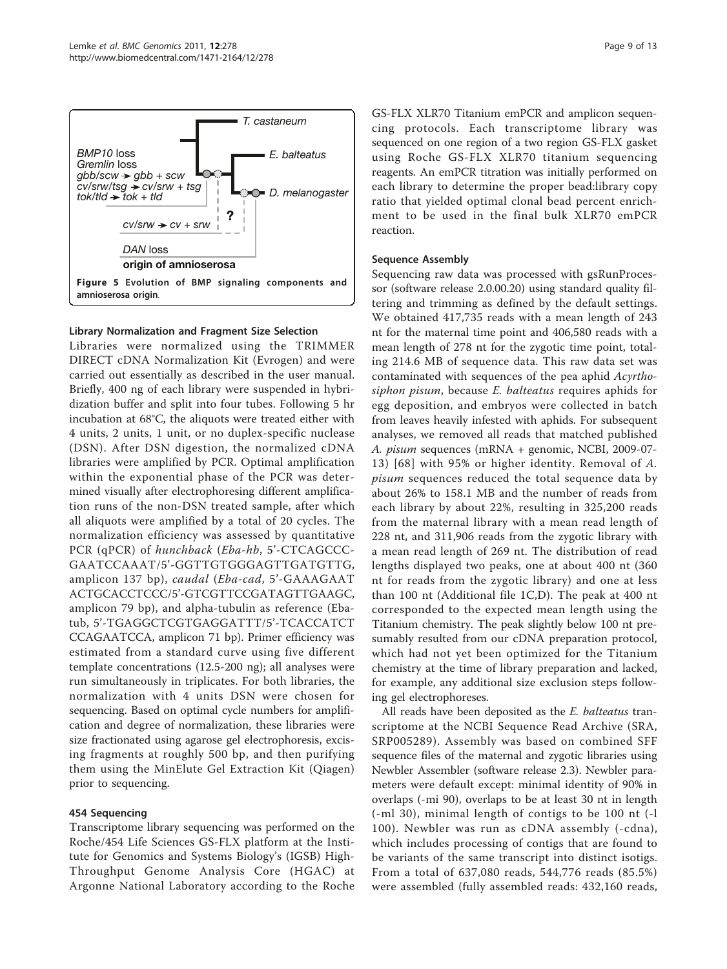<span id="page-8-0"></span>

## Library Normalization and Fragment Size Selection

Libraries were normalized using the TRIMMER DIRECT cDNA Normalization Kit (Evrogen) and were carried out essentially as described in the user manual. Briefly, 400 ng of each library were suspended in hybridization buffer and split into four tubes. Following 5 hr incubation at 68°C, the aliquots were treated either with 4 units, 2 units, 1 unit, or no duplex-specific nuclease (DSN). After DSN digestion, the normalized cDNA libraries were amplified by PCR. Optimal amplification within the exponential phase of the PCR was determined visually after electrophoresing different amplification runs of the non-DSN treated sample, after which all aliquots were amplified by a total of 20 cycles. The normalization efficiency was assessed by quantitative PCR (qPCR) of hunchback (Eba-hb, 5'-CTCAGCCC-GAATCCAAAT/5'-GGTTGTGGGAGTTGATGTTG, amplicon 137 bp), caudal (Eba-cad, 5'-GAAAGAAT ACTGCACCTCCC/5'-GTCGTTCCGATAGTTGAAGC, amplicon 79 bp), and alpha-tubulin as reference (Ebatub, 5'-TGAGGCTCGTGAGGATTT/5'-TCACCATCT CCAGAATCCA, amplicon 71 bp). Primer efficiency was estimated from a standard curve using five different template concentrations (12.5-200 ng); all analyses were run simultaneously in triplicates. For both libraries, the normalization with 4 units DSN were chosen for sequencing. Based on optimal cycle numbers for amplification and degree of normalization, these libraries were size fractionated using agarose gel electrophoresis, excising fragments at roughly 500 bp, and then purifying them using the MinElute Gel Extraction Kit (Qiagen) prior to sequencing.

# 454 Sequencing

Transcriptome library sequencing was performed on the Roche/454 Life Sciences GS-FLX platform at the Institute for Genomics and Systems Biology's (IGSB) High-Throughput Genome Analysis Core (HGAC) at Argonne National Laboratory according to the Roche

GS-FLX XLR70 Titanium emPCR and amplicon sequencing protocols. Each transcriptome library was sequenced on one region of a two region GS-FLX gasket using Roche GS-FLX XLR70 titanium sequencing reagents. An emPCR titration was initially performed on each library to determine the proper bead:library copy ratio that yielded optimal clonal bead percent enrichment to be used in the final bulk XLR70 emPCR reaction.

# Sequence Assembly

Sequencing raw data was processed with gsRunProcessor (software release 2.0.00.20) using standard quality filtering and trimming as defined by the default settings. We obtained 417,735 reads with a mean length of 243 nt for the maternal time point and 406,580 reads with a mean length of 278 nt for the zygotic time point, totaling 214.6 MB of sequence data. This raw data set was contaminated with sequences of the pea aphid Acyrthosiphon pisum, because E. balteatus requires aphids for egg deposition, and embryos were collected in batch from leaves heavily infested with aphids. For subsequent analyses, we removed all reads that matched published A. pisum sequences (mRNA + genomic, NCBI, 2009-07- 13) [[68\]](#page-12-0) with 95% or higher identity. Removal of A. pisum sequences reduced the total sequence data by about 26% to 158.1 MB and the number of reads from each library by about 22%, resulting in 325,200 reads from the maternal library with a mean read length of 228 nt, and 311,906 reads from the zygotic library with a mean read length of 269 nt. The distribution of read lengths displayed two peaks, one at about 400 nt (360 nt for reads from the zygotic library) and one at less than 100 nt (Additional file [1C,D\)](#page-10-0). The peak at 400 nt corresponded to the expected mean length using the Titanium chemistry. The peak slightly below 100 nt presumably resulted from our cDNA preparation protocol, which had not yet been optimized for the Titanium chemistry at the time of library preparation and lacked, for example, any additional size exclusion steps following gel electrophoreses.

All reads have been deposited as the E. balteatus transcriptome at the NCBI Sequence Read Archive (SRA, SRP005289). Assembly was based on combined SFF sequence files of the maternal and zygotic libraries using Newbler Assembler (software release 2.3). Newbler parameters were default except: minimal identity of 90% in overlaps (-mi 90), overlaps to be at least 30 nt in length (-ml 30), minimal length of contigs to be 100 nt (-l 100). Newbler was run as cDNA assembly (-cdna), which includes processing of contigs that are found to be variants of the same transcript into distinct isotigs. From a total of 637,080 reads, 544,776 reads (85.5%) were assembled (fully assembled reads: 432,160 reads,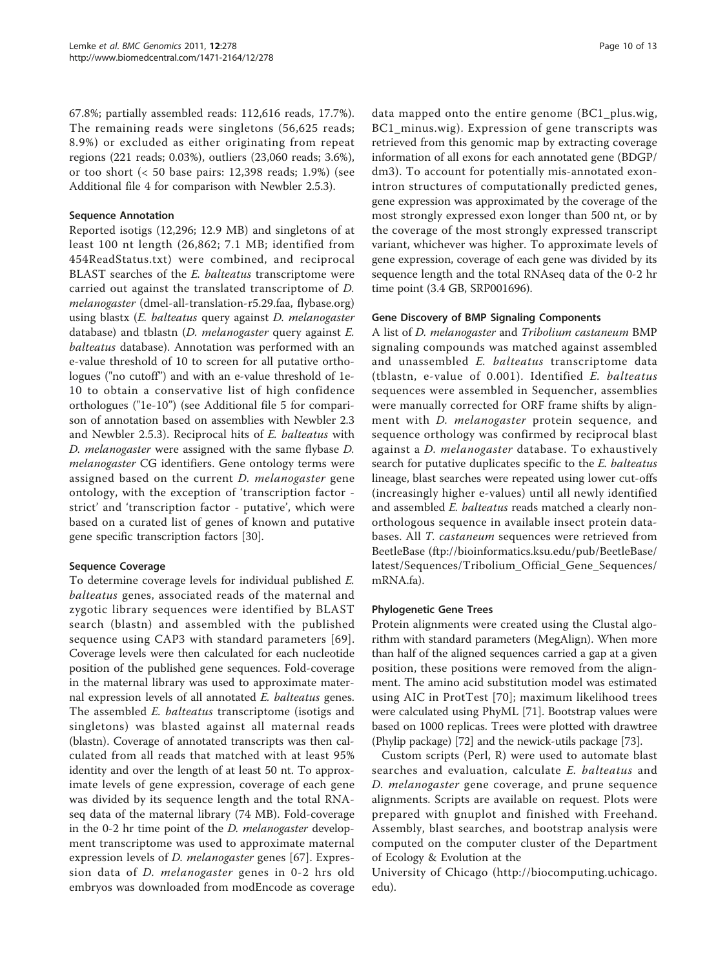67.8%; partially assembled reads: 112,616 reads, 17.7%). The remaining reads were singletons (56,625 reads; 8.9%) or excluded as either originating from repeat regions (221 reads; 0.03%), outliers (23,060 reads; 3.6%), or too short (< 50 base pairs: 12,398 reads; 1.9%) (see Additional file [4](#page-10-0) for comparison with Newbler 2.5.3).

## Sequence Annotation

Reported isotigs (12,296; 12.9 MB) and singletons of at least 100 nt length (26,862; 7.1 MB; identified from 454ReadStatus.txt) were combined, and reciprocal BLAST searches of the *E. balteatus* transcriptome were carried out against the translated transcriptome of D. melanogaster (dmel-all-translation-r5.29.faa, flybase.org) using blastx (E. balteatus query against D. melanogaster database) and tblastn (D. melanogaster query against E. balteatus database). Annotation was performed with an e-value threshold of 10 to screen for all putative orthologues ("no cutoff") and with an e-value threshold of 1e-10 to obtain a conservative list of high confidence orthologues ("1e-10") (see Additional file [5](#page-10-0) for comparison of annotation based on assemblies with Newbler 2.3 and Newbler 2.5.3). Reciprocal hits of E. balteatus with D. melanogaster were assigned with the same flybase D. melanogaster CG identifiers. Gene ontology terms were assigned based on the current *D. melanogaster* gene ontology, with the exception of 'transcription factor strict' and 'transcription factor - putative', which were based on a curated list of genes of known and putative gene specific transcription factors [\[30\]](#page-11-0).

## Sequence Coverage

To determine coverage levels for individual published E. balteatus genes, associated reads of the maternal and zygotic library sequences were identified by BLAST search (blastn) and assembled with the published sequence using CAP3 with standard parameters [[69\]](#page-12-0). Coverage levels were then calculated for each nucleotide position of the published gene sequences. Fold-coverage in the maternal library was used to approximate maternal expression levels of all annotated E. balteatus genes. The assembled *E. balteatus* transcriptome (isotigs and singletons) was blasted against all maternal reads (blastn). Coverage of annotated transcripts was then calculated from all reads that matched with at least 95% identity and over the length of at least 50 nt. To approximate levels of gene expression, coverage of each gene was divided by its sequence length and the total RNAseq data of the maternal library (74 MB). Fold-coverage in the 0-2 hr time point of the *D. melanogaster* development transcriptome was used to approximate maternal expression levels of D. melanogaster genes [\[67](#page-12-0)]. Expression data of D. melanogaster genes in 0-2 hrs old embryos was downloaded from modEncode as coverage

data mapped onto the entire genome (BC1\_plus.wig, BC1\_minus.wig). Expression of gene transcripts was retrieved from this genomic map by extracting coverage information of all exons for each annotated gene (BDGP/ dm3). To account for potentially mis-annotated exonintron structures of computationally predicted genes, gene expression was approximated by the coverage of the most strongly expressed exon longer than 500 nt, or by the coverage of the most strongly expressed transcript variant, whichever was higher. To approximate levels of gene expression, coverage of each gene was divided by its sequence length and the total RNAseq data of the 0-2 hr time point (3.4 GB, SRP001696).

#### Gene Discovery of BMP Signaling Components

A list of D. melanogaster and Tribolium castaneum BMP signaling compounds was matched against assembled and unassembled E. balteatus transcriptome data (tblastn, e-value of 0.001). Identified E. balteatus sequences were assembled in Sequencher, assemblies were manually corrected for ORF frame shifts by alignment with *D. melanogaster* protein sequence, and sequence orthology was confirmed by reciprocal blast against a D. melanogaster database. To exhaustively search for putative duplicates specific to the E. balteatus lineage, blast searches were repeated using lower cut-offs (increasingly higher e-values) until all newly identified and assembled E. balteatus reads matched a clearly nonorthologous sequence in available insect protein databases. All T. castaneum sequences were retrieved from BeetleBase [\(ftp://bioinformatics.ksu.edu/pub/BeetleBase/](ftp://bioinformatics.ksu.edu/pub/BeetleBase/latest/Sequences/Tribolium_Official_Gene_Sequences/mRNA.fa) [latest/Sequences/Tribolium\\_Official\\_Gene\\_Sequences/](ftp://bioinformatics.ksu.edu/pub/BeetleBase/latest/Sequences/Tribolium_Official_Gene_Sequences/mRNA.fa) [mRNA.fa\)](ftp://bioinformatics.ksu.edu/pub/BeetleBase/latest/Sequences/Tribolium_Official_Gene_Sequences/mRNA.fa).

### Phylogenetic Gene Trees

Protein alignments were created using the Clustal algorithm with standard parameters (MegAlign). When more than half of the aligned sequences carried a gap at a given position, these positions were removed from the alignment. The amino acid substitution model was estimated using AIC in ProtTest [[70](#page-12-0)]; maximum likelihood trees were calculated using PhyML [\[71\]](#page-12-0). Bootstrap values were based on 1000 replicas. Trees were plotted with drawtree (Phylip package) [[72](#page-12-0)] and the newick-utils package [[73](#page-12-0)].

Custom scripts (Perl, R) were used to automate blast searches and evaluation, calculate E. balteatus and D. melanogaster gene coverage, and prune sequence alignments. Scripts are available on request. Plots were prepared with gnuplot and finished with Freehand. Assembly, blast searches, and bootstrap analysis were computed on the computer cluster of the Department of Ecology & Evolution at the

University of Chicago ([http://biocomputing.uchicago.](http://biocomputing.uchicago.edu) [edu\)](http://biocomputing.uchicago.edu).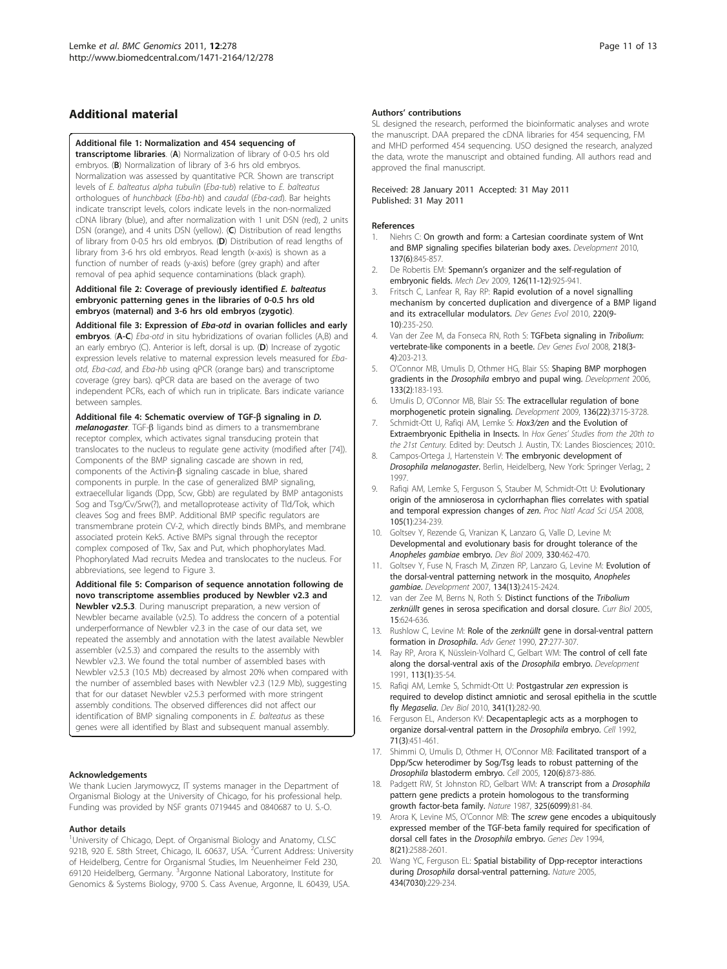## <span id="page-10-0"></span>Additional material

#### [Additional file 1: N](http://www.biomedcentral.com/content/supplementary/1471-2164-12-278-S1.PDF)ormalization and 454 sequencing of

transcriptome libraries. (A) Normalization of library of 0-0.5 hrs old embryos. (B) Normalization of library of 3-6 hrs old embryos. Normalization was assessed by quantitative PCR. Shown are transcript levels of E. balteatus alpha tubulin (Eba-tub) relative to E. balteatus orthologues of hunchback (Eba-hb) and caudal (Eba-cad). Bar heights indicate transcript levels, colors indicate levels in the non-normalized cDNA library (blue), and after normalization with 1 unit DSN (red), 2 units DSN (orange), and 4 units DSN (yellow). (C) Distribution of read lengths of library from 0-0.5 hrs old embryos. (D) Distribution of read lengths of library from 3-6 hrs old embryos. Read length (x-axis) is shown as a function of number of reads (y-axis) before (grey graph) and after removal of pea aphid sequence contaminations (black graph).

#### [Additional file 2: C](http://www.biomedcentral.com/content/supplementary/1471-2164-12-278-S2.PDF)overage of previously identified E. balteatus embryonic patterning genes in the libraries of 0-0.5 hrs old embryos (maternal) and 3-6 hrs old embryos (zygotic).

[Additional file 3: E](http://www.biomedcentral.com/content/supplementary/1471-2164-12-278-S3.PDF)xpression of Eba-otd in ovarian follicles and early embryos. (A-C) Eba-otd in situ hybridizations of ovarian follicles (A,B) and an early embryo (C). Anterior is left, dorsal is up. (D) Increase of zygotic expression levels relative to maternal expression levels measured for Ebaotd, Eba-cad, and Eba-hb using qPCR (orange bars) and transcriptome coverage (grey bars). qPCR data are based on the average of two independent PCRs, each of which run in triplicate. Bars indicate variance between samples.

[Additional file 4: S](http://www.biomedcentral.com/content/supplementary/1471-2164-12-278-S4.PDF)chematic overview of TGF- $\beta$  signaling in D.  $melanogaster$ . TGF- $\beta$  ligands bind as dimers to a transmembrane receptor complex, which activates signal transducing protein that translocates to the nucleus to regulate gene activity (modified after [[74\]](#page-12-0)). Components of the BMP signaling cascade are shown in red, components of the Activin- $\beta$  signaling cascade in blue, shared components in purple. In the case of generalized BMP signaling, extraecellular ligands (Dpp, Scw, Gbb) are regulated by BMP antagonists Sog and Tsg/Cv/Srw(?), and metalloprotease activity of Tld/Tok, which cleaves Sog and frees BMP. Additional BMP specific regulators are transmembrane protein CV-2, which directly binds BMPs, and membrane associated protein Kek5. Active BMPs signal through the receptor complex composed of Tkv, Sax and Put, which phophorylates Mad. Phophorylated Mad recruits Medea and translocates to the nucleus. For abbreviations, see legend to Figure 3.

[Additional file 5: C](http://www.biomedcentral.com/content/supplementary/1471-2164-12-278-S5.PDF)omparison of sequence annotation following de novo transcriptome assemblies produced by Newbler v2.3 and Newbler v2.5.3. During manuscript preparation, a new version of Newbler became available (v2.5). To address the concern of a potential underperformance of Newbler v2.3 in the case of our data set, we repeated the assembly and annotation with the latest available Newbler assembler (v2.5.3) and compared the results to the assembly with Newbler v2.3. We found the total number of assembled bases with Newbler v2.5.3 (10.5 Mb) decreased by almost 20% when compared with the number of assembled bases with Newbler v2.3 (12.9 Mb), suggesting that for our dataset Newbler v2.5.3 performed with more stringent assembly conditions. The observed differences did not affect our identification of BMP signaling components in E. balteatus as these genes were all identified by Blast and subsequent manual assembly.

#### Acknowledgements

We thank Lucien Jarymowycz, IT systems manager in the Department of Organismal Biology at the University of Chicago, for his professional help. Funding was provided by NSF grants 0719445 and 0840687 to U. S.-O.

#### Author details

<sup>1</sup>University of Chicago, Dept. of Organismal Biology and Anatomy, CLSC 921B, 920 E. 58th Street, Chicago, IL 60637, USA. <sup>2</sup>Current Address: University of Heidelberg, Centre for Organismal Studies, Im Neuenheimer Feld 230, 69120 Heidelberg, Germany. <sup>3</sup>Argonne National Laboratory, Institute for Genomics & Systems Biology, 9700 S. Cass Avenue, Argonne, IL 60439, USA.

#### Authors' contributions

SL designed the research, performed the bioinformatic analyses and wrote the manuscript. DAA prepared the cDNA libraries for 454 sequencing, FM and MHD performed 454 sequencing. USO designed the research, analyzed the data, wrote the manuscript and obtained funding. All authors read and approved the final manuscript.

#### Received: 28 January 2011 Accepted: 31 May 2011 Published: 31 May 2011

#### References

- 1. Niehrs C: [On growth and form: a Cartesian coordinate system of Wnt](http://www.ncbi.nlm.nih.gov/pubmed/20179091?dopt=Abstract) [and BMP signaling specifies bilaterian body axes.](http://www.ncbi.nlm.nih.gov/pubmed/20179091?dopt=Abstract) Development 2010, 137(6):845-857.
- De Robertis EM: Spemann'[s organizer and the self-regulation of](http://www.ncbi.nlm.nih.gov/pubmed/19733655?dopt=Abstract) [embryonic fields.](http://www.ncbi.nlm.nih.gov/pubmed/19733655?dopt=Abstract) Mech Dev 2009, 126(11-12):925-941.
- 3. Fritsch C, Lanfear R, Ray RP: [Rapid evolution of a novel signalling](http://www.ncbi.nlm.nih.gov/pubmed/21086136?dopt=Abstract) [mechanism by concerted duplication and divergence of a BMP ligand](http://www.ncbi.nlm.nih.gov/pubmed/21086136?dopt=Abstract) [and its extracellular modulators.](http://www.ncbi.nlm.nih.gov/pubmed/21086136?dopt=Abstract) Dev Genes Evol 2010, 220(9- 10):235-250.
- Van der Zee M, da Fonseca RN, Roth S: [TGFbeta signaling in](http://www.ncbi.nlm.nih.gov/pubmed/18392881?dopt=Abstract) Tribolium: [vertebrate-like components in a beetle.](http://www.ncbi.nlm.nih.gov/pubmed/18392881?dopt=Abstract) Dev Genes Evol 2008, 218(3- 4):203-213.
- 5. O'Connor MB, Umulis D, Othmer HG, Blair SS: [Shaping BMP morphogen](http://www.ncbi.nlm.nih.gov/pubmed/16368928?dopt=Abstract) gradients in the Drosophila [embryo and pupal wing.](http://www.ncbi.nlm.nih.gov/pubmed/16368928?dopt=Abstract) Development 2006, 133(2):183-193.
- 6. Umulis D, O'Connor MB, Blair SS: [The extracellular regulation of bone](http://www.ncbi.nlm.nih.gov/pubmed/19855014?dopt=Abstract) [morphogenetic protein signaling.](http://www.ncbi.nlm.nih.gov/pubmed/19855014?dopt=Abstract) Development 2009, 136(22):3715-3728.
- 7. Schmidt-Ott U, Rafiqi AM, Lemke S: Hox3/zen [and the Evolution of](http://www.ncbi.nlm.nih.gov/pubmed/21626505?dopt=Abstract) [Extraembryonic Epithelia in Insects.](http://www.ncbi.nlm.nih.gov/pubmed/21626505?dopt=Abstract) In Hox Genes' Studies from the 20th to the 21st Century. Edited by: Deutsch J. Austin, TX: Landes Biosciences; 2010:.
- 8. Campos-Ortega J, Hartenstein V: The embryonic development of Drosophila melanogaster. Berlin, Heidelberg, New York: Springer Verlag;, 2 1997.
- 9. Rafiqi AM, Lemke S, Ferguson S, Stauber M, Schmidt-Ott U: [Evolutionary](http://www.ncbi.nlm.nih.gov/pubmed/18172205?dopt=Abstract) [origin of the amnioserosa in cyclorrhaphan flies correlates with spatial](http://www.ncbi.nlm.nih.gov/pubmed/18172205?dopt=Abstract) [and temporal expression changes of](http://www.ncbi.nlm.nih.gov/pubmed/18172205?dopt=Abstract) zen. Proc Natl Acad Sci USA 2008, 105(1):234-239.
- 10. Goltsev Y, Rezende G, Vranizan K, Lanzaro G, Valle D, Levine M: [Developmental and evolutionary basis for drought tolerance of the](http://www.ncbi.nlm.nih.gov/pubmed/19298808?dopt=Abstract) [Anopheles gambiae](http://www.ncbi.nlm.nih.gov/pubmed/19298808?dopt=Abstract) embryo. Dev Biol 2009, 330:462-470.
- 11. Goltsev Y, Fuse N, Frasch M, Zinzen RP, Lanzaro G, Levine M: [Evolution of](http://www.ncbi.nlm.nih.gov/pubmed/17522157?dopt=Abstract) [the dorsal-ventral patterning network in the mosquito,](http://www.ncbi.nlm.nih.gov/pubmed/17522157?dopt=Abstract) Anopheles [gambiae](http://www.ncbi.nlm.nih.gov/pubmed/17522157?dopt=Abstract). Development 2007, 134(13):2415-2424.
- 12. van der Zee M, Berns N, Roth S: [Distinct functions of the](http://www.ncbi.nlm.nih.gov/pubmed/15823534?dopt=Abstract) Tribolium zerknüllt [genes in serosa specification and dorsal closure.](http://www.ncbi.nlm.nih.gov/pubmed/15823534?dopt=Abstract) Curr Biol 2005, 15:624-636.
- 13. Rushlow C, Levine M: Role of the zerknüllt [gene in dorsal-ventral pattern](http://www.ncbi.nlm.nih.gov/pubmed/2112301?dopt=Abstract) [formation in](http://www.ncbi.nlm.nih.gov/pubmed/2112301?dopt=Abstract) Drosophila. Adv Genet 1990, 27:277-307.
- 14. Ray RP, Arora K, Nüsslein-Volhard C, Gelbart WM: [The control of cell fate](http://www.ncbi.nlm.nih.gov/pubmed/1765005?dopt=Abstract) [along the dorsal-ventral axis of the](http://www.ncbi.nlm.nih.gov/pubmed/1765005?dopt=Abstract) Drosophila embryo. Development 1991, 113(1):35-54.
- 15. Rafiqi AM, Lemke S, Schmidt-Ott U: [Postgastrular](http://www.ncbi.nlm.nih.gov/pubmed/20144604?dopt=Abstract) zen expression is [required to develop distinct amniotic and serosal epithelia in the scuttle](http://www.ncbi.nlm.nih.gov/pubmed/20144604?dopt=Abstract) fly [Megaselia](http://www.ncbi.nlm.nih.gov/pubmed/20144604?dopt=Abstract). Dev Biol 2010, 341(1):282-90.
- 16. Ferguson EL, Anderson KV: [Decapentaplegic acts as a morphogen to](http://www.ncbi.nlm.nih.gov/pubmed/1423606?dopt=Abstract) [organize dorsal-ventral pattern in the](http://www.ncbi.nlm.nih.gov/pubmed/1423606?dopt=Abstract) Drosophila embryo. Cell 1992, 71(3):451-461.
- 17. Shimmi O, Umulis D, Othmer H, O'Connor MB: [Facilitated transport of a](http://www.ncbi.nlm.nih.gov/pubmed/15797386?dopt=Abstract) [Dpp/Scw heterodimer by Sog/Tsg leads to robust patterning of the](http://www.ncbi.nlm.nih.gov/pubmed/15797386?dopt=Abstract) Drosophila [blastoderm embryo.](http://www.ncbi.nlm.nih.gov/pubmed/15797386?dopt=Abstract) Cell 2005, 120(6):873-886.
- 18. Padgett RW, St Johnston RD, Gelbart WM: [A transcript from a](http://www.ncbi.nlm.nih.gov/pubmed/3467201?dopt=Abstract) Drosophila [pattern gene predicts a protein homologous to the transforming](http://www.ncbi.nlm.nih.gov/pubmed/3467201?dopt=Abstract) [growth factor-beta family.](http://www.ncbi.nlm.nih.gov/pubmed/3467201?dopt=Abstract) Nature 1987, 325(6099):81-84.
- 19. Arora K, Levine MS, O'Connor MB: The screw [gene encodes a ubiquitously](http://www.ncbi.nlm.nih.gov/pubmed/7958918?dopt=Abstract) [expressed member of the TGF-beta family required for specification of](http://www.ncbi.nlm.nih.gov/pubmed/7958918?dopt=Abstract) [dorsal cell fates in the](http://www.ncbi.nlm.nih.gov/pubmed/7958918?dopt=Abstract) Drosophila embryo. Genes Dev 1994, 8(21):2588-2601.
- 20. Wang YC, Ferguson EL: [Spatial bistability of Dpp-receptor interactions](http://www.ncbi.nlm.nih.gov/pubmed/15759004?dopt=Abstract) during Drosophila [dorsal-ventral patterning.](http://www.ncbi.nlm.nih.gov/pubmed/15759004?dopt=Abstract) Nature 2005, 434(7030):229-234.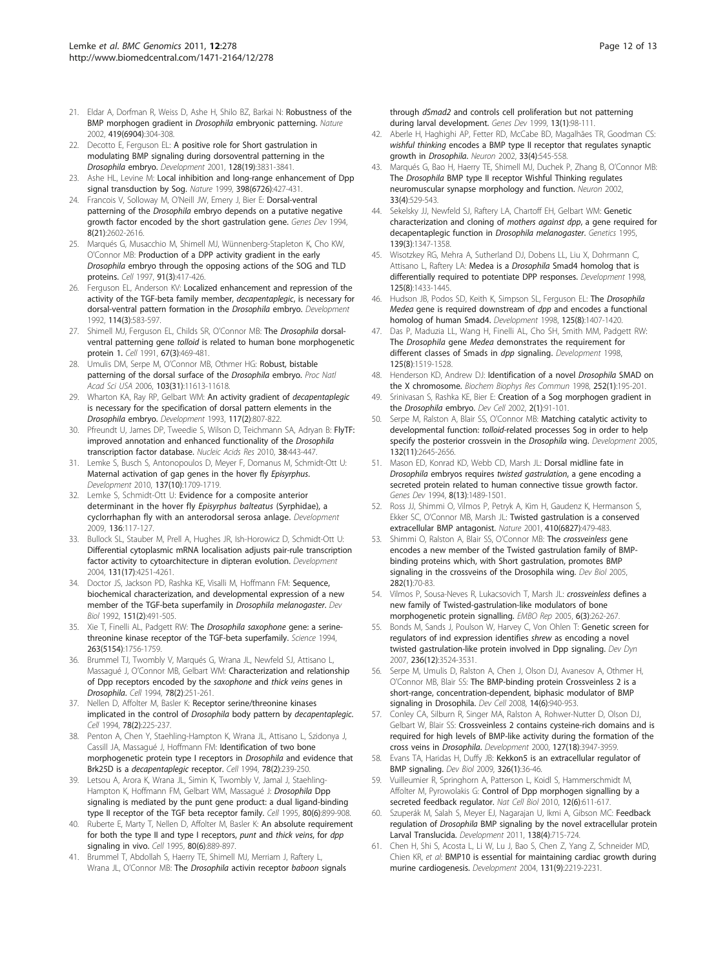- <span id="page-11-0"></span>21. Eldar A, Dorfman R, Weiss D, Ashe H, Shilo BZ, Barkai N: [Robustness of the](http://www.ncbi.nlm.nih.gov/pubmed/12239569?dopt=Abstract) [BMP morphogen gradient in](http://www.ncbi.nlm.nih.gov/pubmed/12239569?dopt=Abstract) Drosophila embryonic patterning. Nature 2002, 419(6904):304-308.
- 22. Decotto E, Ferguson EL: [A positive role for Short gastrulation in](http://www.ncbi.nlm.nih.gov/pubmed/11585808?dopt=Abstract) [modulating BMP signaling during dorsoventral patterning in the](http://www.ncbi.nlm.nih.gov/pubmed/11585808?dopt=Abstract) [Drosophila](http://www.ncbi.nlm.nih.gov/pubmed/11585808?dopt=Abstract) embryo. Development 2001, 128(19):3831-3841.
- 23. Ashe HL, Levine M: [Local inhibition and long-range enhancement of Dpp](http://www.ncbi.nlm.nih.gov/pubmed/10201373?dopt=Abstract) [signal transduction by Sog.](http://www.ncbi.nlm.nih.gov/pubmed/10201373?dopt=Abstract) Nature 1999, 398(6726):427-431.
- 24. Francois V, Solloway M, O'Neill JW, Emery J, Bier E: [Dorsal-ventral](http://www.ncbi.nlm.nih.gov/pubmed/7958919?dopt=Abstract) patterning of the Drosophila [embryo depends on a putative negative](http://www.ncbi.nlm.nih.gov/pubmed/7958919?dopt=Abstract) [growth factor encoded by the short gastrulation gene.](http://www.ncbi.nlm.nih.gov/pubmed/7958919?dopt=Abstract) Genes Dev 1994, 8(21):2602-2616.
- 25. Marqués G, Musacchio M, Shimell MJ, Wünnenberg-Stapleton K, Cho KW, O'Connor MB: [Production of a DPP activity gradient in the early](http://www.ncbi.nlm.nih.gov/pubmed/9363950?dopt=Abstract) Drosophila [embryo through the opposing actions of the SOG and TLD](http://www.ncbi.nlm.nih.gov/pubmed/9363950?dopt=Abstract) [proteins.](http://www.ncbi.nlm.nih.gov/pubmed/9363950?dopt=Abstract) Cell 1997, 91(3):417-426.
- 26. Ferguson EL, Anderson KV: [Localized enhancement and repression of the](http://www.ncbi.nlm.nih.gov/pubmed/1618130?dopt=Abstract) [activity of the TGF-beta family member,](http://www.ncbi.nlm.nih.gov/pubmed/1618130?dopt=Abstract) decapentaplegic, is necessary for [dorsal-ventral pattern formation in the](http://www.ncbi.nlm.nih.gov/pubmed/1618130?dopt=Abstract) Drosophila embryo. Development 1992, 114(3):583-597.
- 27. Shimell MJ, Ferguson EL, Childs SR, O'Connor MB: The [Drosophila](http://www.ncbi.nlm.nih.gov/pubmed/1840509?dopt=Abstract) dorsalventral patterning gene tolloid [is related to human bone morphogenetic](http://www.ncbi.nlm.nih.gov/pubmed/1840509?dopt=Abstract) [protein 1.](http://www.ncbi.nlm.nih.gov/pubmed/1840509?dopt=Abstract) Cell 1991, 67(3):469-481.
- 28. Umulis DM, Serpe M, O'Connor MB, Othmer HG: [Robust, bistable](http://www.ncbi.nlm.nih.gov/pubmed/16864795?dopt=Abstract) [patterning of the dorsal surface of the](http://www.ncbi.nlm.nih.gov/pubmed/16864795?dopt=Abstract) Drosophila embryo. Proc Natl Acad Sci USA 2006, 103(31):11613-11618.
- 29. Wharton KA, Ray RP, Gelbart WM: [An activity gradient of](http://www.ncbi.nlm.nih.gov/pubmed/8330541?dopt=Abstract) decapentaplegic [is necessary for the specification of dorsal pattern elements in the](http://www.ncbi.nlm.nih.gov/pubmed/8330541?dopt=Abstract) [Drosophila](http://www.ncbi.nlm.nih.gov/pubmed/8330541?dopt=Abstract) embryo. Development 1993, 117(2):807-822.
- 30. Pfreundt U, James DP, Tweedie S, Wilson D, Teichmann SA, Adryan B: FlyTF: improved annotation and enhanced functionality of the Drosophila transcription factor database. Nucleic Acids Res 2010, 38:443-447.
- 31. Lemke S, Busch S, Antonopoulos D, Meyer F, Domanus M, Schmidt-Ott U: [Maternal activation of gap genes in the hover fly](http://www.ncbi.nlm.nih.gov/pubmed/20430746?dopt=Abstract) Episyrphus. Development 2010, 137(10):1709-1719.
- 32. Lemke S, Schmidt-Ott U: [Evidence for a composite anterior](http://www.ncbi.nlm.nih.gov/pubmed/19060334?dopt=Abstract) [determinant in the hover fly](http://www.ncbi.nlm.nih.gov/pubmed/19060334?dopt=Abstract) Episyrphus balteatus (Syrphidae), a [cyclorrhaphan fly with an anterodorsal serosa anlage.](http://www.ncbi.nlm.nih.gov/pubmed/19060334?dopt=Abstract) Development 2009, 136:117-127.
- 33. Bullock SL, Stauber M, Prell A, Hughes JR, Ish-Horowicz D, Schmidt-Ott U: [Differential cytoplasmic mRNA localisation adjusts pair-rule transcription](http://www.ncbi.nlm.nih.gov/pubmed/15280214?dopt=Abstract) [factor activity to cytoarchitecture in dipteran evolution.](http://www.ncbi.nlm.nih.gov/pubmed/15280214?dopt=Abstract) Development 2004, 131(17):4251-4261.
- 34. Doctor JS, Jackson PD, Rashka KE, Visalli M, Hoffmann FM: [Sequence,](http://www.ncbi.nlm.nih.gov/pubmed/1601181?dopt=Abstract) [biochemical characterization, and developmental expression of a new](http://www.ncbi.nlm.nih.gov/pubmed/1601181?dopt=Abstract) [member of the TGF-beta superfamily in](http://www.ncbi.nlm.nih.gov/pubmed/1601181?dopt=Abstract) Drosophila melanogaster. Dev Biol 1992, 151(2):491-505.
- 35. Xie T, Finelli AL, Padgett RW: The [Drosophila saxophone](http://www.ncbi.nlm.nih.gov/pubmed/8134837?dopt=Abstract) gene: a serine[threonine kinase receptor of the TGF-beta superfamily.](http://www.ncbi.nlm.nih.gov/pubmed/8134837?dopt=Abstract) Science 1994, 263(5154):1756-1759.
- 36. Brummel TJ, Twombly V, Marqués G, Wrana JL, Newfeld SJ, Attisano L, Massagué J, O'Connor MB, Gelbart WM: [Characterization and relationship](http://www.ncbi.nlm.nih.gov/pubmed/8044839?dopt=Abstract) [of Dpp receptors encoded by the](http://www.ncbi.nlm.nih.gov/pubmed/8044839?dopt=Abstract) saxophone and thick veins genes in [Drosophila](http://www.ncbi.nlm.nih.gov/pubmed/8044839?dopt=Abstract). Cell 1994, 78(2):251-261.
- 37. Nellen D, Affolter M, Basler K: [Receptor serine/threonine kinases](http://www.ncbi.nlm.nih.gov/pubmed/8044837?dopt=Abstract) [implicated in the control of](http://www.ncbi.nlm.nih.gov/pubmed/8044837?dopt=Abstract) Drosophila body pattern by decapentaplegic. Cell 1994, 78(2):225-237.
- 38. Penton A, Chen Y, Staehling-Hampton K, Wrana JL, Attisano L, Szidonya J, Cassill JA, Massagué J, Hoffmann FM: [Identification of two bone](http://www.ncbi.nlm.nih.gov/pubmed/8044838?dopt=Abstract) [morphogenetic protein type I receptors in](http://www.ncbi.nlm.nih.gov/pubmed/8044838?dopt=Abstract) Drosophila and evidence that Brk25D is a [decapentaplegic](http://www.ncbi.nlm.nih.gov/pubmed/8044838?dopt=Abstract) receptor. Cell 1994, 78(2):239-250.
- 39. Letsou A, Arora K, Wrana JL, Simin K, Twombly V, Jamal J, Staehling-Hampton K, Hoffmann FM, Gelbart WM, Massagué J: [Drosophila](http://www.ncbi.nlm.nih.gov/pubmed/7697720?dopt=Abstract) Dpp [signaling is mediated by the punt gene product: a dual ligand-binding](http://www.ncbi.nlm.nih.gov/pubmed/7697720?dopt=Abstract) [type II receptor of the TGF beta receptor family.](http://www.ncbi.nlm.nih.gov/pubmed/7697720?dopt=Abstract) Cell 1995, 80(6):899-908.
- 40. Ruberte E, Marty T, Nellen D, Affolter M, Basler K: [An absolute requirement](http://www.ncbi.nlm.nih.gov/pubmed/7697719?dopt=Abstract) [for both the type II and type I receptors,](http://www.ncbi.nlm.nih.gov/pubmed/7697719?dopt=Abstract) punt and thick veins, for dpp [signaling in vivo.](http://www.ncbi.nlm.nih.gov/pubmed/7697719?dopt=Abstract) Cell 1995, 80(6):889-897.
- 41. Brummel T, Abdollah S, Haerry TE, Shimell MJ, Merriam J, Raftery L, Wrana JL, O'Connor MB: The Drosophila [activin receptor](http://www.ncbi.nlm.nih.gov/pubmed/9887103?dopt=Abstract) baboon signals

through dSmad2 [and controls cell proliferation but not patterning](http://www.ncbi.nlm.nih.gov/pubmed/9887103?dopt=Abstract) [during larval development.](http://www.ncbi.nlm.nih.gov/pubmed/9887103?dopt=Abstract) Genes Dev 1999, 13(1):98-111.

- 42. Aberle H, Haghighi AP, Fetter RD, McCabe BD, Magalhães TR, Goodman CS: wishful thinking [encodes a BMP type II receptor that regulates synaptic](http://www.ncbi.nlm.nih.gov/pubmed/11856529?dopt=Abstract) growth in [Drosophila](http://www.ncbi.nlm.nih.gov/pubmed/11856529?dopt=Abstract). Neuron 2002, 33(4):545-558.
- 43. Marqués G, Bao H, Haerry TE, Shimell MJ, Duchek P, Zhang B, O'Connor MB: The Drosophila [BMP type II receptor Wishful Thinking regulates](http://www.ncbi.nlm.nih.gov/pubmed/11856528?dopt=Abstract) [neuromuscular synapse morphology and function.](http://www.ncbi.nlm.nih.gov/pubmed/11856528?dopt=Abstract) Neuron 2002, 33(4):529-543.
- 44. Sekelsky JJ, Newfeld SJ, Raftery LA, Chartoff EH, Gelbart WM: [Genetic](http://www.ncbi.nlm.nih.gov/pubmed/7768443?dopt=Abstract) [characterization and cloning of](http://www.ncbi.nlm.nih.gov/pubmed/7768443?dopt=Abstract) mothers against dpp, a gene required for [decapentaplegic function in](http://www.ncbi.nlm.nih.gov/pubmed/7768443?dopt=Abstract) Drosophila melanogaster. Genetics 1995, 139(3):1347-1358.
- 45. Wisotzkey RG, Mehra A, Sutherland DJ, Dobens LL, Liu X, Dohrmann C, Attisano L, Raftery LA: Medea is a Drosophila [Smad4 homolog that is](http://www.ncbi.nlm.nih.gov/pubmed/9502724?dopt=Abstract) [differentially required to potentiate DPP responses.](http://www.ncbi.nlm.nih.gov/pubmed/9502724?dopt=Abstract) Development 1998, 125(8):1433-1445.
- 46. Hudson JB, Podos SD, Keith K, Simpson SL, Ferguson EL: The [Drosophila](http://www.ncbi.nlm.nih.gov/pubmed/9502722?dopt=Abstract) Medea [gene is required downstream of](http://www.ncbi.nlm.nih.gov/pubmed/9502722?dopt=Abstract) dpp and encodes a functional [homolog of human Smad4.](http://www.ncbi.nlm.nih.gov/pubmed/9502722?dopt=Abstract) Development 1998, 125(8):1407-1420.
- 47. Das P, Maduzia LL, Wang H, Finelli AL, Cho SH, Smith MM, Padgett RW: The Drosophila gene Medea [demonstrates the requirement for](http://www.ncbi.nlm.nih.gov/pubmed/9502733?dopt=Abstract) [different classes of Smads in](http://www.ncbi.nlm.nih.gov/pubmed/9502733?dopt=Abstract) dpp signaling. Development 1998, 125(8):1519-1528.
- 48. Henderson KD, Andrew DJ: [Identification of a novel](http://www.ncbi.nlm.nih.gov/pubmed/9813169?dopt=Abstract) *Drosophila* SMAD on [the X chromosome.](http://www.ncbi.nlm.nih.gov/pubmed/9813169?dopt=Abstract) Biochem Biophys Res Commun 1998, 252(1):195-201.
- 49. Srinivasan S, Rashka KE, Bier E: [Creation of a Sog morphogen gradient in](http://www.ncbi.nlm.nih.gov/pubmed/11782317?dopt=Abstract) the [Drosophila](http://www.ncbi.nlm.nih.gov/pubmed/11782317?dopt=Abstract) embryo. Dev Cell 2002, 2(1):91-101.
- 50. Serpe M, Ralston A, Blair SS, O'Connor MB: [Matching catalytic activity to](http://www.ncbi.nlm.nih.gov/pubmed/15872004?dopt=Abstract) developmental function: tolloid[-related processes Sog in order to help](http://www.ncbi.nlm.nih.gov/pubmed/15872004?dopt=Abstract) [specify the posterior crossvein in the](http://www.ncbi.nlm.nih.gov/pubmed/15872004?dopt=Abstract) Drosophila wing. Development 2005, 132(11):2645-2656.
- 51. Mason ED, Konrad KD, Webb CD, Marsh JL: [Dorsal midline fate in](http://www.ncbi.nlm.nih.gov/pubmed/7958834?dopt=Abstract) Drosophila embryos requires twisted gastrulation[, a gene encoding a](http://www.ncbi.nlm.nih.gov/pubmed/7958834?dopt=Abstract) [secreted protein related to human connective tissue growth factor.](http://www.ncbi.nlm.nih.gov/pubmed/7958834?dopt=Abstract) Genes Dev 1994, 8(13):1489-1501.
- 52. Ross JJ, Shimmi O, Vilmos P, Petryk A, Kim H, Gaudenz K, Hermanson S, Ekker SC, O'Connor MB, Marsh JL: [Twisted gastrulation is a conserved](http://www.ncbi.nlm.nih.gov/pubmed/11260716?dopt=Abstract) [extracellular BMP antagonist.](http://www.ncbi.nlm.nih.gov/pubmed/11260716?dopt=Abstract) Nature 2001, 410(6827):479-483
- 53. Shimmi O, Ralston A, Blair SS, O'Connor MB: The [crossveinless](http://www.ncbi.nlm.nih.gov/pubmed/15936330?dopt=Abstract) gene [encodes a new member of the Twisted gastrulation family of BMP](http://www.ncbi.nlm.nih.gov/pubmed/15936330?dopt=Abstract)[binding proteins which, with Short gastrulation, promotes BMP](http://www.ncbi.nlm.nih.gov/pubmed/15936330?dopt=Abstract) [signaling in the crossveins of the Drosophila wing.](http://www.ncbi.nlm.nih.gov/pubmed/15936330?dopt=Abstract) Dev Biol 2005, 282(1):70-83.
- 54. Vilmos P, Sousa-Neves R, Lukacsovich T, Marsh JL: [crossveinless](http://www.ncbi.nlm.nih.gov/pubmed/15711536?dopt=Abstract) defines a [new family of Twisted-gastrulation-like modulators of bone](http://www.ncbi.nlm.nih.gov/pubmed/15711536?dopt=Abstract) [morphogenetic protein signalling.](http://www.ncbi.nlm.nih.gov/pubmed/15711536?dopt=Abstract) EMBO Rep 2005, 6(3):262-267.
- 55. Bonds M, Sands J, Poulson W, Harvey C, Von Ohlen T: [Genetic screen for](http://www.ncbi.nlm.nih.gov/pubmed/17969149?dopt=Abstract) [regulators of ind expression identifies](http://www.ncbi.nlm.nih.gov/pubmed/17969149?dopt=Abstract) shrew as encoding a novel [twisted gastrulation-like protein involved in Dpp signaling.](http://www.ncbi.nlm.nih.gov/pubmed/17969149?dopt=Abstract) Dev Dyn 2007, 236(12):3524-3531.
- 56. Serpe M, Umulis D, Ralston A, Chen J, Olson DJ, Avanesov A, Othmer H, O'Connor MB, Blair SS: [The BMP-binding protein Crossveinless 2 is a](http://www.ncbi.nlm.nih.gov/pubmed/18539121?dopt=Abstract) [short-range, concentration-dependent, biphasic modulator of BMP](http://www.ncbi.nlm.nih.gov/pubmed/18539121?dopt=Abstract) [signaling in Drosophila.](http://www.ncbi.nlm.nih.gov/pubmed/18539121?dopt=Abstract) Dev Cell 2008, 14(6):940-953.
- 57. Conley CA, Silburn R, Singer MA, Ralston A, Rohwer-Nutter D, Olson DJ, Gelbart W, Blair SS: [Crossveinless 2 contains cysteine-rich domains and is](http://www.ncbi.nlm.nih.gov/pubmed/10952893?dopt=Abstract) [required for high levels of BMP-like activity during the formation of the](http://www.ncbi.nlm.nih.gov/pubmed/10952893?dopt=Abstract) [cross veins in](http://www.ncbi.nlm.nih.gov/pubmed/10952893?dopt=Abstract) Drosophila. Development 2000, 127(18):3947-3959.
- 58. Evans TA, Haridas H, Duffy JB: [Kekkon5 is an extracellular regulator of](http://www.ncbi.nlm.nih.gov/pubmed/19013143?dopt=Abstract) [BMP signaling.](http://www.ncbi.nlm.nih.gov/pubmed/19013143?dopt=Abstract) Dev Biol 2009, 326(1):36-46.
- 59. Vuilleumier R, Springhorn A, Patterson L, Koidl S, Hammerschmidt M, Affolter M, Pyrowolakis G: [Control of Dpp morphogen signalling by a](http://www.ncbi.nlm.nih.gov/pubmed/20453847?dopt=Abstract) [secreted feedback regulator.](http://www.ncbi.nlm.nih.gov/pubmed/20453847?dopt=Abstract) Nat Cell Biol 2010, 12(6):611-617.
- Szuperák M, Salah S, Meyer EJ, Nagarajan U, Ikmi A, Gibson MC: [Feedback](http://www.ncbi.nlm.nih.gov/pubmed/21266407?dopt=Abstract) regulation of Drosophila [BMP signaling by the novel extracellular protein](http://www.ncbi.nlm.nih.gov/pubmed/21266407?dopt=Abstract) [Larval Translucida.](http://www.ncbi.nlm.nih.gov/pubmed/21266407?dopt=Abstract) Development 2011, 138(4):715-724.
- 61. Chen H, Shi S, Acosta L, Li W, Lu J, Bao S, Chen Z, Yang Z, Schneider MD, Chien KR, et al: [BMP10 is essential for maintaining cardiac growth during](http://www.ncbi.nlm.nih.gov/pubmed/15073151?dopt=Abstract) [murine cardiogenesis.](http://www.ncbi.nlm.nih.gov/pubmed/15073151?dopt=Abstract) Development 2004, 131(9):2219-2231.